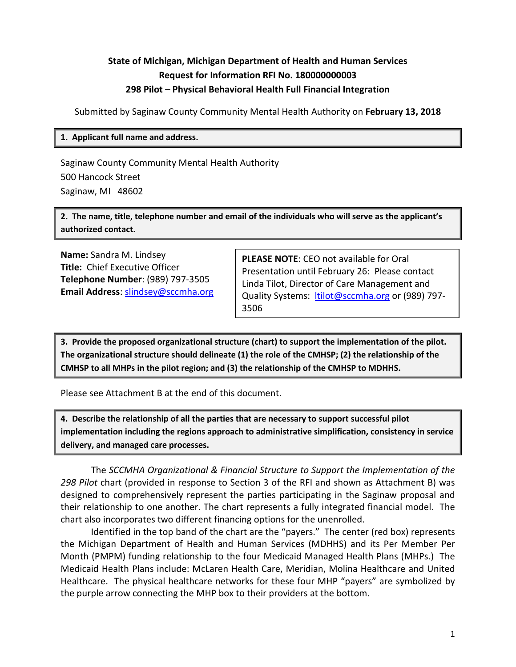# **State of Michigan, Michigan Department of Health and Human Services Request for Information RFI No. 180000000003 298 Pilot – Physical Behavioral Health Full Financial Integration**

Submitted by Saginaw County Community Mental Health Authority on **February 13, 2018**

### **1. Applicant full name and address.**

Saginaw County Community Mental Health Authority 500 Hancock Street Saginaw, MI 48602

**2. The name, title, telephone number and email of the individuals who will serve as the applicant's authorized contact.**

**Name:** Sandra M. Lindsey **Title:** Chief Executive Officer **Telephone Number**: (989) 797-3505 **Email Address**: [slindsey@sccmha.org](mailto:slindsey@sccmha.org)

**PLEASE NOTE**: CEO not available for Oral Presentation until February 26: Please contact Linda Tilot, Director of Care Management and Quality Systems: [ltilot@sccmha.org](mailto:ltilot@sccmha.org) or (989) 797-3506

**3. Provide the proposed organizational structure (chart) to support the implementation of the pilot. The organizational structure should delineate (1) the role of the CMHSP; (2) the relationship of the CMHSP to all MHPs in the pilot region; and (3) the relationship of the CMHSP to MDHHS.**

Please see Attachment B at the end of this document.

**4. Describe the relationship of all the parties that are necessary to support successful pilot implementation including the regions approach to administrative simplification, consistency in service delivery, and managed care processes.**

The *SCCMHA Organizational & Financial Structure to Support the Implementation of the 298 Pilot* chart (provided in response to Section 3 of the RFI and shown as Attachment B) was designed to comprehensively represent the parties participating in the Saginaw proposal and their relationship to one another. The chart represents a fully integrated financial model. The chart also incorporates two different financing options for the unenrolled.

Identified in the top band of the chart are the "payers." The center (red box) represents the Michigan Department of Health and Human Services (MDHHS) and its Per Member Per Month (PMPM) funding relationship to the four Medicaid Managed Health Plans (MHPs.) The Medicaid Health Plans include: McLaren Health Care, Meridian, Molina Healthcare and United Healthcare. The physical healthcare networks for these four MHP "payers" are symbolized by the purple arrow connecting the MHP box to their providers at the bottom.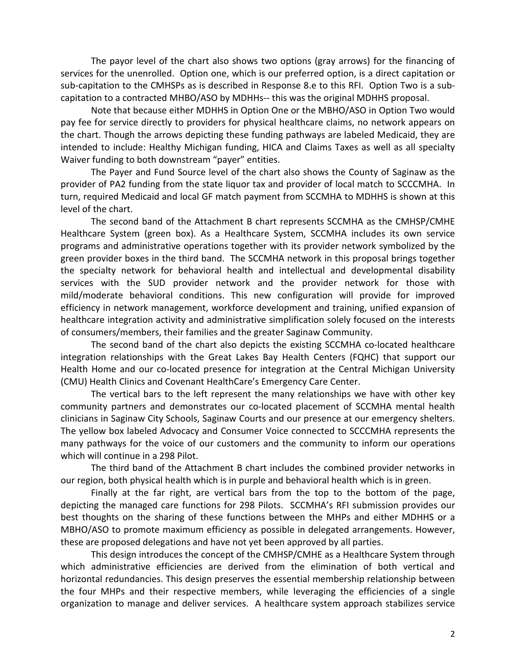The payor level of the chart also shows two options (gray arrows) for the financing of services for the unenrolled. Option one, which is our preferred option, is a direct capitation or sub-capitation to the CMHSPs as is described in Response 8.e to this RFI. Option Two is a subcapitation to a contracted MHBO/ASO by MDHHs-- this was the original MDHHS proposal.

Note that because either MDHHS in Option One or the MBHO/ASO in Option Two would pay fee for service directly to providers for physical healthcare claims, no network appears on the chart. Though the arrows depicting these funding pathways are labeled Medicaid, they are intended to include: Healthy Michigan funding, HICA and Claims Taxes as well as all specialty Waiver funding to both downstream "payer" entities.

The Payer and Fund Source level of the chart also shows the County of Saginaw as the provider of PA2 funding from the state liquor tax and provider of local match to SCCCMHA. In turn, required Medicaid and local GF match payment from SCCMHA to MDHHS is shown at this level of the chart.

The second band of the Attachment B chart represents SCCMHA as the CMHSP/CMHE Healthcare System (green box). As a Healthcare System, SCCMHA includes its own service programs and administrative operations together with its provider network symbolized by the green provider boxes in the third band. The SCCMHA network in this proposal brings together the specialty network for behavioral health and intellectual and developmental disability services with the SUD provider network and the provider network for those with mild/moderate behavioral conditions. This new configuration will provide for improved efficiency in network management, workforce development and training, unified expansion of healthcare integration activity and administrative simplification solely focused on the interests of consumers/members, their families and the greater Saginaw Community.

The second band of the chart also depicts the existing SCCMHA co-located healthcare integration relationships with the Great Lakes Bay Health Centers (FQHC) that support our Health Home and our co-located presence for integration at the Central Michigan University (CMU) Health Clinics and Covenant HealthCare's Emergency Care Center.

The vertical bars to the left represent the many relationships we have with other key community partners and demonstrates our co-located placement of SCCMHA mental health clinicians in Saginaw City Schools, Saginaw Courts and our presence at our emergency shelters. The yellow box labeled Advocacy and Consumer Voice connected to SCCCMHA represents the many pathways for the voice of our customers and the community to inform our operations which will continue in a 298 Pilot.

The third band of the Attachment B chart includes the combined provider networks in our region, both physical health which is in purple and behavioral health which is in green.

Finally at the far right, are vertical bars from the top to the bottom of the page, depicting the managed care functions for 298 Pilots. SCCMHA's RFI submission provides our best thoughts on the sharing of these functions between the MHPs and either MDHHS or a MBHO/ASO to promote maximum efficiency as possible in delegated arrangements. However, these are proposed delegations and have not yet been approved by all parties.

This design introduces the concept of the CMHSP/CMHE as a Healthcare System through which administrative efficiencies are derived from the elimination of both vertical and horizontal redundancies. This design preserves the essential membership relationship between the four MHPs and their respective members, while leveraging the efficiencies of a single organization to manage and deliver services. A healthcare system approach stabilizes service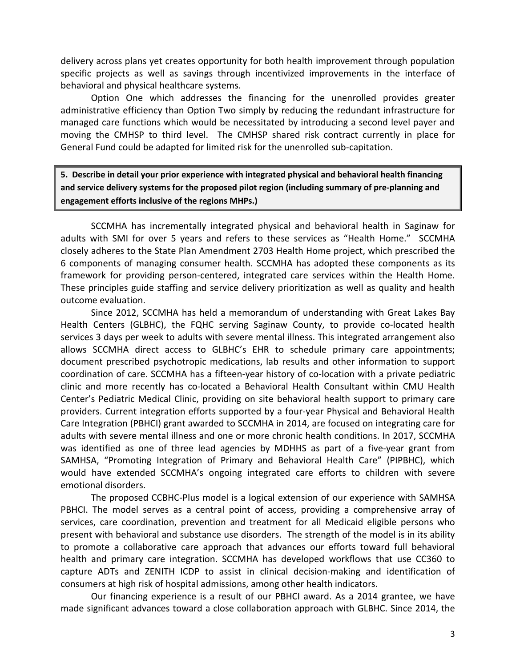delivery across plans yet creates opportunity for both health improvement through population specific projects as well as savings through incentivized improvements in the interface of behavioral and physical healthcare systems.

Option One which addresses the financing for the unenrolled provides greater administrative efficiency than Option Two simply by reducing the redundant infrastructure for managed care functions which would be necessitated by introducing a second level payer and moving the CMHSP to third level. The CMHSP shared risk contract currently in place for General Fund could be adapted for limited risk for the unenrolled sub-capitation.

**5. Describe in detail your prior experience with integrated physical and behavioral health financing and service delivery systems for the proposed pilot region (including summary of pre-planning and engagement efforts inclusive of the regions MHPs.)**

SCCMHA has incrementally integrated physical and behavioral health in Saginaw for adults with SMI for over 5 years and refers to these services as "Health Home." SCCMHA closely adheres to the State Plan Amendment 2703 Health Home project, which prescribed the 6 components of managing consumer health. SCCMHA has adopted these components as its framework for providing person-centered, integrated care services within the Health Home. These principles guide staffing and service delivery prioritization as well as quality and health outcome evaluation.

Since 2012, SCCMHA has held a memorandum of understanding with Great Lakes Bay Health Centers (GLBHC), the FQHC serving Saginaw County, to provide co-located health services 3 days per week to adults with severe mental illness. This integrated arrangement also allows SCCMHA direct access to GLBHC's EHR to schedule primary care appointments; document prescribed psychotropic medications, lab results and other information to support coordination of care. SCCMHA has a fifteen-year history of co-location with a private pediatric clinic and more recently has co-located a Behavioral Health Consultant within CMU Health Center's Pediatric Medical Clinic, providing on site behavioral health support to primary care providers. Current integration efforts supported by a four-year Physical and Behavioral Health Care Integration (PBHCI) grant awarded to SCCMHA in 2014, are focused on integrating care for adults with severe mental illness and one or more chronic health conditions. In 2017, SCCMHA was identified as one of three lead agencies by MDHHS as part of a five-year grant from SAMHSA, "Promoting Integration of Primary and Behavioral Health Care" (PIPBHC), which would have extended SCCMHA's ongoing integrated care efforts to children with severe emotional disorders.

The proposed CCBHC-Plus model is a logical extension of our experience with SAMHSA PBHCI. The model serves as a central point of access, providing a comprehensive array of services, care coordination, prevention and treatment for all Medicaid eligible persons who present with behavioral and substance use disorders. The strength of the model is in its ability to promote a collaborative care approach that advances our efforts toward full behavioral health and primary care integration. SCCMHA has developed workflows that use CC360 to capture ADTs and ZENITH ICDP to assist in clinical decision-making and identification of consumers at high risk of hospital admissions, among other health indicators.

Our financing experience is a result of our PBHCI award. As a 2014 grantee, we have made significant advances toward a close collaboration approach with GLBHC. Since 2014, the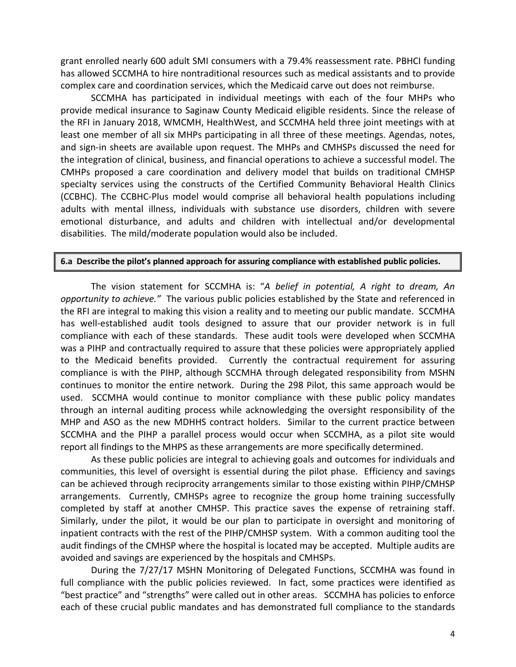grant enrolled nearly 600 adult SMI consumers with a 79.4% reassessment rate. PBHCI funding has allowed SCCMHA to hire nontraditional resources such as medical assistants and to provide complex care and coordination services, which the Medicaid carve out does not reimburse.

SCCMHA has participated in individual meetings with each of the four MHPs who provide medical insurance to Saginaw County Medicaid eligible residents. Since the release of the RFI in January 2018, WMCMH, HealthWest, and SCCMHA held three joint meetings with at least one member of all six MHPs participating in all three of these meetings. Agendas, notes, and sign-in sheets are available upon request. The MHPs and CMHSPs discussed the need for the integration of clinical, business, and financial operations to achieve a successful model. The CMHPs proposed a care coordination and delivery model that builds on traditional CMHSP specialty services using the constructs of the Certified Community Behavioral Health Clinics (CCBHC). The CCBHC-Plus model would comprise all behavioral health populations including adults with mental illness, individuals with substance use disorders, children with severe emotional disturbance, and adults and children with intellectual and/or developmental disabilities. The mild/moderate population would also be included.

#### **6.a Describe the pilot's planned approach for assuring compliance with established public policies.**

The vision statement for SCCMHA is: "*A belief in potential, A right to dream, An opportunity to achieve."* The various public policies established by the State and referenced in the RFI are integral to making this vision a reality and to meeting our public mandate. SCCMHA has well-established audit tools designed to assure that our provider network is in full compliance with each of these standards. These audit tools were developed when SCCMHA was a PIHP and contractually required to assure that these policies were appropriately applied to the Medicaid benefits provided. Currently the contractual requirement for assuring compliance is with the PIHP, although SCCMHA through delegated responsibility from MSHN continues to monitor the entire network. During the 298 Pilot, this same approach would be used. SCCMHA would continue to monitor compliance with these public policy mandates through an internal auditing process while acknowledging the oversight responsibility of the MHP and ASO as the new MDHHS contract holders. Similar to the current practice between SCCMHA and the PIHP a parallel process would occur when SCCMHA, as a pilot site would report all findings to the MHPS as these arrangements are more specifically determined.

As these public policies are integral to achieving goals and outcomes for individuals and communities, this level of oversight is essential during the pilot phase. Efficiency and savings can be achieved through reciprocity arrangements similar to those existing within PIHP/CMHSP arrangements. Currently, CMHSPs agree to recognize the group home training successfully completed by staff at another CMHSP. This practice saves the expense of retraining staff. Similarly, under the pilot, it would be our plan to participate in oversight and monitoring of inpatient contracts with the rest of the PIHP/CMHSP system. With a common auditing tool the audit findings of the CMHSP where the hospital is located may be accepted. Multiple audits are avoided and savings are experienced by the hospitals and CMHSPs.

During the 7/27/17 MSHN Monitoring of Delegated Functions, SCCMHA was found in full compliance with the public policies reviewed. In fact, some practices were identified as "best practice" and "strengths" were called out in other areas. SCCMHA has policies to enforce each of these crucial public mandates and has demonstrated full compliance to the standards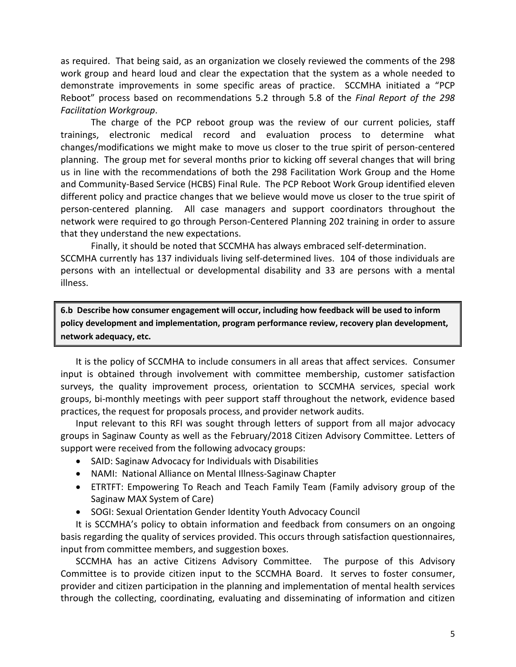as required. That being said, as an organization we closely reviewed the comments of the 298 work group and heard loud and clear the expectation that the system as a whole needed to demonstrate improvements in some specific areas of practice. SCCMHA initiated a "PCP Reboot" process based on recommendations 5.2 through 5.8 of the *Final Report of the 298 Facilitation Workgroup*.

The charge of the PCP reboot group was the review of our current policies, staff trainings, electronic medical record and evaluation process to determine what changes/modifications we might make to move us closer to the true spirit of person-centered planning. The group met for several months prior to kicking off several changes that will bring us in line with the recommendations of both the 298 Facilitation Work Group and the Home and Community-Based Service (HCBS) Final Rule. The PCP Reboot Work Group identified eleven different policy and practice changes that we believe would move us closer to the true spirit of person-centered planning. All case managers and support coordinators throughout the network were required to go through Person-Centered Planning 202 training in order to assure that they understand the new expectations.

Finally, it should be noted that SCCMHA has always embraced self-determination. SCCMHA currently has 137 individuals living self-determined lives. 104 of those individuals are persons with an intellectual or developmental disability and 33 are persons with a mental illness.

**6.b Describe how consumer engagement will occur, including how feedback will be used to inform policy development and implementation, program performance review, recovery plan development, network adequacy, etc.** 

It is the policy of SCCMHA to include consumers in all areas that affect services. Consumer input is obtained through involvement with committee membership, customer satisfaction surveys, the quality improvement process, orientation to SCCMHA services, special work groups, bi-monthly meetings with peer support staff throughout the network, evidence based practices, the request for proposals process, and provider network audits.

Input relevant to this RFI was sought through letters of support from all major advocacy groups in Saginaw County as well as the February/2018 Citizen Advisory Committee. Letters of support were received from the following advocacy groups:

- SAID: Saginaw Advocacy for Individuals with Disabilities
- NAMI: National Alliance on Mental Illness-Saginaw Chapter
- ETRTFT: Empowering To Reach and Teach Family Team (Family advisory group of the Saginaw MAX System of Care)
- SOGI: Sexual Orientation Gender Identity Youth Advocacy Council

It is SCCMHA's policy to obtain information and feedback from consumers on an ongoing basis regarding the quality of services provided. This occurs through satisfaction questionnaires, input from committee members, and suggestion boxes.

SCCMHA has an active Citizens Advisory Committee. The purpose of this Advisory Committee is to provide citizen input to the SCCMHA Board. It serves to foster consumer, provider and citizen participation in the planning and implementation of mental health services through the collecting, coordinating, evaluating and disseminating of information and citizen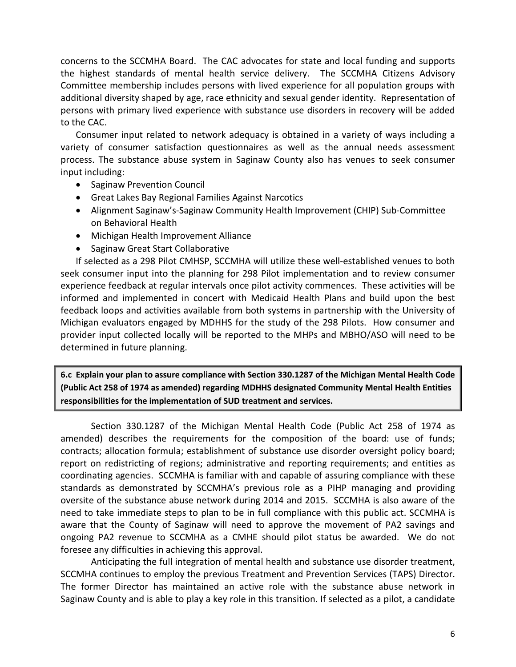concerns to the SCCMHA Board. The CAC advocates for state and local funding and supports the highest standards of mental health service delivery. The SCCMHA Citizens Advisory Committee membership includes persons with lived experience for all population groups with additional diversity shaped by age, race ethnicity and sexual gender identity. Representation of persons with primary lived experience with substance use disorders in recovery will be added to the CAC.

Consumer input related to network adequacy is obtained in a variety of ways including a variety of consumer satisfaction questionnaires as well as the annual needs assessment process. The substance abuse system in Saginaw County also has venues to seek consumer input including:

- Saginaw Prevention Council
- Great Lakes Bay Regional Families Against Narcotics
- Alignment Saginaw's-Saginaw Community Health Improvement (CHIP) Sub-Committee on Behavioral Health
- Michigan Health Improvement Alliance
- Saginaw Great Start Collaborative

If selected as a 298 Pilot CMHSP, SCCMHA will utilize these well-established venues to both seek consumer input into the planning for 298 Pilot implementation and to review consumer experience feedback at regular intervals once pilot activity commences. These activities will be informed and implemented in concert with Medicaid Health Plans and build upon the best feedback loops and activities available from both systems in partnership with the University of Michigan evaluators engaged by MDHHS for the study of the 298 Pilots. How consumer and provider input collected locally will be reported to the MHPs and MBHO/ASO will need to be determined in future planning.

**6.c Explain your plan to assure compliance with Section 330.1287 of the Michigan Mental Health Code (Public Act 258 of 1974 as amended) regarding MDHHS designated Community Mental Health Entities responsibilities for the implementation of SUD treatment and services.** 

Section 330.1287 of the Michigan Mental Health Code (Public Act 258 of 1974 as amended) describes the requirements for the composition of the board: use of funds; contracts; allocation formula; establishment of substance use disorder oversight policy board; report on redistricting of regions; administrative and reporting requirements; and entities as coordinating agencies. SCCMHA is familiar with and capable of assuring compliance with these standards as demonstrated by SCCMHA's previous role as a PIHP managing and providing oversite of the substance abuse network during 2014 and 2015. SCCMHA is also aware of the need to take immediate steps to plan to be in full compliance with this public act. SCCMHA is aware that the County of Saginaw will need to approve the movement of PA2 savings and ongoing PA2 revenue to SCCMHA as a CMHE should pilot status be awarded. We do not foresee any difficulties in achieving this approval.

Anticipating the full integration of mental health and substance use disorder treatment, SCCMHA continues to employ the previous Treatment and Prevention Services (TAPS) Director. The former Director has maintained an active role with the substance abuse network in Saginaw County and is able to play a key role in this transition. If selected as a pilot, a candidate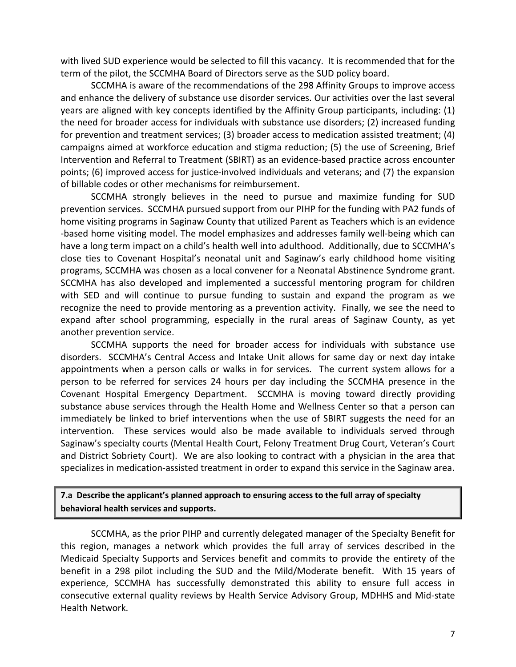with lived SUD experience would be selected to fill this vacancy. It is recommended that for the term of the pilot, the SCCMHA Board of Directors serve as the SUD policy board.

SCCMHA is aware of the recommendations of the 298 Affinity Groups to improve access and enhance the delivery of substance use disorder services. Our activities over the last several years are aligned with key concepts identified by the Affinity Group participants, including: (1) the need for broader access for individuals with substance use disorders; (2) increased funding for prevention and treatment services; (3) broader access to medication assisted treatment; (4) campaigns aimed at workforce education and stigma reduction; (5) the use of Screening, Brief Intervention and Referral to Treatment (SBIRT) as an evidence-based practice across encounter points; (6) improved access for justice-involved individuals and veterans; and (7) the expansion of billable codes or other mechanisms for reimbursement.

SCCMHA strongly believes in the need to pursue and maximize funding for SUD prevention services. SCCMHA pursued support from our PIHP for the funding with PA2 funds of home visiting programs in Saginaw County that utilized Parent as Teachers which is an evidence -based home visiting model. The model emphasizes and addresses family well-being which can have a long term impact on a child's health well into adulthood. Additionally, due to SCCMHA's close ties to Covenant Hospital's neonatal unit and Saginaw's early childhood home visiting programs, SCCMHA was chosen as a local convener for a Neonatal Abstinence Syndrome grant. SCCMHA has also developed and implemented a successful mentoring program for children with SED and will continue to pursue funding to sustain and expand the program as we recognize the need to provide mentoring as a prevention activity. Finally, we see the need to expand after school programming, especially in the rural areas of Saginaw County, as yet another prevention service.

SCCMHA supports the need for broader access for individuals with substance use disorders. SCCMHA's Central Access and Intake Unit allows for same day or next day intake appointments when a person calls or walks in for services. The current system allows for a person to be referred for services 24 hours per day including the SCCMHA presence in the Covenant Hospital Emergency Department. SCCMHA is moving toward directly providing substance abuse services through the Health Home and Wellness Center so that a person can immediately be linked to brief interventions when the use of SBIRT suggests the need for an intervention. These services would also be made available to individuals served through Saginaw's specialty courts (Mental Health Court, Felony Treatment Drug Court, Veteran's Court and District Sobriety Court). We are also looking to contract with a physician in the area that specializes in medication-assisted treatment in order to expand this service in the Saginaw area.

### **7.a Describe the applicant's planned approach to ensuring access to the full array of specialty behavioral health services and supports.**

SCCMHA, as the prior PIHP and currently delegated manager of the Specialty Benefit for this region, manages a network which provides the full array of services described in the Medicaid Specialty Supports and Services benefit and commits to provide the entirety of the benefit in a 298 pilot including the SUD and the Mild/Moderate benefit. With 15 years of experience, SCCMHA has successfully demonstrated this ability to ensure full access in consecutive external quality reviews by Health Service Advisory Group, MDHHS and Mid-state Health Network.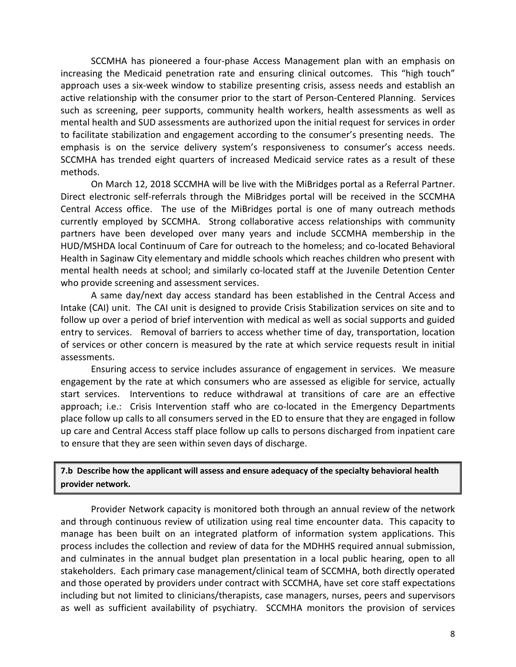SCCMHA has pioneered a four-phase Access Management plan with an emphasis on increasing the Medicaid penetration rate and ensuring clinical outcomes. This "high touch" approach uses a six-week window to stabilize presenting crisis, assess needs and establish an active relationship with the consumer prior to the start of Person-Centered Planning. Services such as screening, peer supports, community health workers, health assessments as well as mental health and SUD assessments are authorized upon the initial request for services in order to facilitate stabilization and engagement according to the consumer's presenting needs. The emphasis is on the service delivery system's responsiveness to consumer's access needs. SCCMHA has trended eight quarters of increased Medicaid service rates as a result of these methods.

On March 12, 2018 SCCMHA will be live with the MiBridges portal as a Referral Partner. Direct electronic self-referrals through the MiBridges portal will be received in the SCCMHA Central Access office. The use of the MiBridges portal is one of many outreach methods currently employed by SCCMHA. Strong collaborative access relationships with community partners have been developed over many years and include SCCMHA membership in the HUD/MSHDA local Continuum of Care for outreach to the homeless; and co-located Behavioral Health in Saginaw City elementary and middle schools which reaches children who present with mental health needs at school; and similarly co-located staff at the Juvenile Detention Center who provide screening and assessment services.

A same day/next day access standard has been established in the Central Access and Intake (CAI) unit. The CAI unit is designed to provide Crisis Stabilization services on site and to follow up over a period of brief intervention with medical as well as social supports and guided entry to services. Removal of barriers to access whether time of day, transportation, location of services or other concern is measured by the rate at which service requests result in initial assessments.

Ensuring access to service includes assurance of engagement in services. We measure engagement by the rate at which consumers who are assessed as eligible for service, actually start services. Interventions to reduce withdrawal at transitions of care are an effective approach; i.e.: Crisis Intervention staff who are co-located in the Emergency Departments place follow up calls to all consumers served in the ED to ensure that they are engaged in follow up care and Central Access staff place follow up calls to persons discharged from inpatient care to ensure that they are seen within seven days of discharge.

**7.b Describe how the applicant will assess and ensure adequacy of the specialty behavioral health provider network.** 

Provider Network capacity is monitored both through an annual review of the network and through continuous review of utilization using real time encounter data. This capacity to manage has been built on an integrated platform of information system applications. This process includes the collection and review of data for the MDHHS required annual submission, and culminates in the annual budget plan presentation in a local public hearing, open to all stakeholders. Each primary case management/clinical team of SCCMHA, both directly operated and those operated by providers under contract with SCCMHA, have set core staff expectations including but not limited to clinicians/therapists, case managers, nurses, peers and supervisors as well as sufficient availability of psychiatry. SCCMHA monitors the provision of services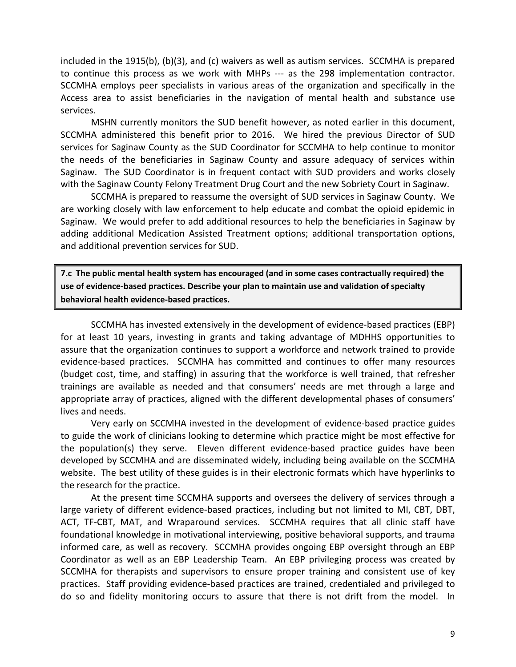included in the 1915(b), (b)(3), and (c) waivers as well as autism services. SCCMHA is prepared to continue this process as we work with MHPs --- as the 298 implementation contractor. SCCMHA employs peer specialists in various areas of the organization and specifically in the Access area to assist beneficiaries in the navigation of mental health and substance use services.

MSHN currently monitors the SUD benefit however, as noted earlier in this document, SCCMHA administered this benefit prior to 2016. We hired the previous Director of SUD services for Saginaw County as the SUD Coordinator for SCCMHA to help continue to monitor the needs of the beneficiaries in Saginaw County and assure adequacy of services within Saginaw. The SUD Coordinator is in frequent contact with SUD providers and works closely with the Saginaw County Felony Treatment Drug Court and the new Sobriety Court in Saginaw.

SCCMHA is prepared to reassume the oversight of SUD services in Saginaw County. We are working closely with law enforcement to help educate and combat the opioid epidemic in Saginaw. We would prefer to add additional resources to help the beneficiaries in Saginaw by adding additional Medication Assisted Treatment options; additional transportation options, and additional prevention services for SUD.

**7.c The public mental health system has encouraged (and in some cases contractually required) the use of evidence-based practices. Describe your plan to maintain use and validation of specialty behavioral health evidence-based practices.** 

SCCMHA has invested extensively in the development of evidence-based practices (EBP) for at least 10 years, investing in grants and taking advantage of MDHHS opportunities to assure that the organization continues to support a workforce and network trained to provide evidence-based practices. SCCMHA has committed and continues to offer many resources (budget cost, time, and staffing) in assuring that the workforce is well trained, that refresher trainings are available as needed and that consumers' needs are met through a large and appropriate array of practices, aligned with the different developmental phases of consumers' lives and needs.

Very early on SCCMHA invested in the development of evidence-based practice guides to guide the work of clinicians looking to determine which practice might be most effective for the population(s) they serve. Eleven different evidence-based practice guides have been developed by SCCMHA and are disseminated widely, including being available on the SCCMHA website. The best utility of these guides is in their electronic formats which have hyperlinks to the research for the practice.

At the present time SCCMHA supports and oversees the delivery of services through a large variety of different evidence-based practices, including but not limited to MI, CBT, DBT, ACT, TF-CBT, MAT, and Wraparound services. SCCMHA requires that all clinic staff have foundational knowledge in motivational interviewing, positive behavioral supports, and trauma informed care, as well as recovery. SCCMHA provides ongoing EBP oversight through an EBP Coordinator as well as an EBP Leadership Team. An EBP privileging process was created by SCCMHA for therapists and supervisors to ensure proper training and consistent use of key practices. Staff providing evidence-based practices are trained, credentialed and privileged to do so and fidelity monitoring occurs to assure that there is not drift from the model. In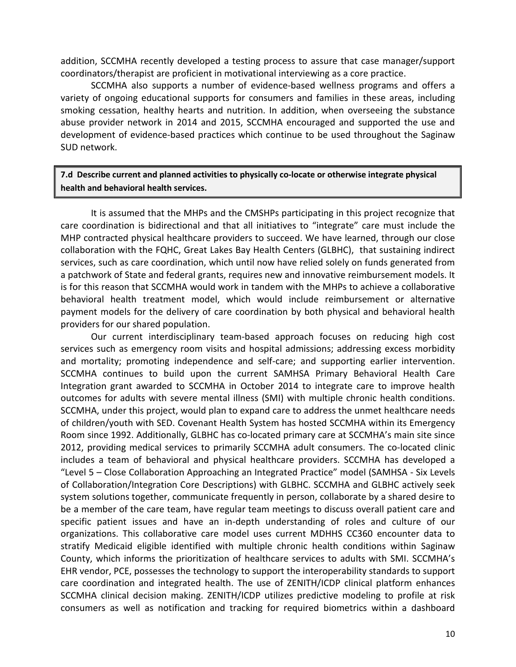addition, SCCMHA recently developed a testing process to assure that case manager/support coordinators/therapist are proficient in motivational interviewing as a core practice.

SCCMHA also supports a number of evidence-based wellness programs and offers a variety of ongoing educational supports for consumers and families in these areas, including smoking cessation, healthy hearts and nutrition. In addition, when overseeing the substance abuse provider network in 2014 and 2015, SCCMHA encouraged and supported the use and development of evidence-based practices which continue to be used throughout the Saginaw SUD network.

## **7.d Describe current and planned activities to physically co-locate or otherwise integrate physical health and behavioral health services.**

It is assumed that the MHPs and the CMSHPs participating in this project recognize that care coordination is bidirectional and that all initiatives to "integrate" care must include the MHP contracted physical healthcare providers to succeed. We have learned, through our close collaboration with the FQHC, Great Lakes Bay Health Centers (GLBHC), that sustaining indirect services, such as care coordination, which until now have relied solely on funds generated from a patchwork of State and federal grants, requires new and innovative reimbursement models. It is for this reason that SCCMHA would work in tandem with the MHPs to achieve a collaborative behavioral health treatment model, which would include reimbursement or alternative payment models for the delivery of care coordination by both physical and behavioral health providers for our shared population.

Our current interdisciplinary team-based approach focuses on reducing high cost services such as emergency room visits and hospital admissions; addressing excess morbidity and mortality; promoting independence and self-care; and supporting earlier intervention. SCCMHA continues to build upon the current SAMHSA Primary Behavioral Health Care Integration grant awarded to SCCMHA in October 2014 to integrate care to improve health outcomes for adults with severe mental illness (SMI) with multiple chronic health conditions. SCCMHA, under this project, would plan to expand care to address the unmet healthcare needs of children/youth with SED. Covenant Health System has hosted SCCMHA within its Emergency Room since 1992. Additionally, GLBHC has co-located primary care at SCCMHA's main site since 2012, providing medical services to primarily SCCMHA adult consumers. The co-located clinic includes a team of behavioral and physical healthcare providers. SCCMHA has developed a "Level 5 – Close Collaboration Approaching an Integrated Practice" model (SAMHSA - Six Levels of Collaboration/Integration Core Descriptions) with GLBHC. SCCMHA and GLBHC actively seek system solutions together, communicate frequently in person, collaborate by a shared desire to be a member of the care team, have regular team meetings to discuss overall patient care and specific patient issues and have an in-depth understanding of roles and culture of our organizations. This collaborative care model uses current MDHHS CC360 encounter data to stratify Medicaid eligible identified with multiple chronic health conditions within Saginaw County, which informs the prioritization of healthcare services to adults with SMI. SCCMHA's EHR vendor, PCE, possesses the technology to support the interoperability standards to support care coordination and integrated health. The use of ZENITH/ICDP clinical platform enhances SCCMHA clinical decision making. ZENITH/ICDP utilizes predictive modeling to profile at risk consumers as well as notification and tracking for required biometrics within a dashboard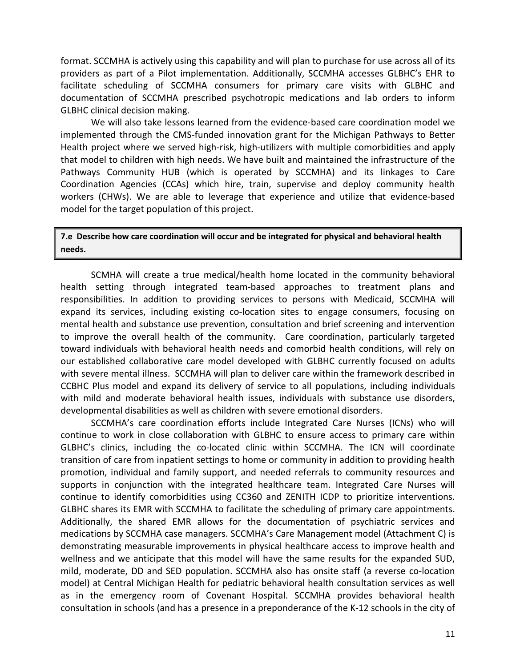format. SCCMHA is actively using this capability and will plan to purchase for use across all of its providers as part of a Pilot implementation. Additionally, SCCMHA accesses GLBHC's EHR to facilitate scheduling of SCCMHA consumers for primary care visits with GLBHC and documentation of SCCMHA prescribed psychotropic medications and lab orders to inform GLBHC clinical decision making.

We will also take lessons learned from the evidence-based care coordination model we implemented through the CMS-funded innovation grant for the Michigan Pathways to Better Health project where we served high-risk, high-utilizers with multiple comorbidities and apply that model to children with high needs. We have built and maintained the infrastructure of the Pathways Community HUB (which is operated by SCCMHA) and its linkages to Care Coordination Agencies (CCAs) which hire, train, supervise and deploy community health workers (CHWs). We are able to leverage that experience and utilize that evidence-based model for the target population of this project.

### **7.e Describe how care coordination will occur and be integrated for physical and behavioral health needs.**

SCMHA will create a true medical/health home located in the community behavioral health setting through integrated team-based approaches to treatment plans and responsibilities. In addition to providing services to persons with Medicaid, SCCMHA will expand its services, including existing co-location sites to engage consumers, focusing on mental health and substance use prevention, consultation and brief screening and intervention to improve the overall health of the community. Care coordination, particularly targeted toward individuals with behavioral health needs and comorbid health conditions, will rely on our established collaborative care model developed with GLBHC currently focused on adults with severe mental illness. SCCMHA will plan to deliver care within the framework described in CCBHC Plus model and expand its delivery of service to all populations, including individuals with mild and moderate behavioral health issues, individuals with substance use disorders, developmental disabilities as well as children with severe emotional disorders.

SCCMHA's care coordination efforts include Integrated Care Nurses (ICNs) who will continue to work in close collaboration with GLBHC to ensure access to primary care within GLBHC's clinics, including the co-located clinic within SCCMHA. The ICN will coordinate transition of care from inpatient settings to home or community in addition to providing health promotion, individual and family support, and needed referrals to community resources and supports in conjunction with the integrated healthcare team. Integrated Care Nurses will continue to identify comorbidities using CC360 and ZENITH ICDP to prioritize interventions. GLBHC shares its EMR with SCCMHA to facilitate the scheduling of primary care appointments. Additionally, the shared EMR allows for the documentation of psychiatric services and medications by SCCMHA case managers. SCCMHA's Care Management model (Attachment C) is demonstrating measurable improvements in physical healthcare access to improve health and wellness and we anticipate that this model will have the same results for the expanded SUD, mild, moderate, DD and SED population. SCCMHA also has onsite staff (a reverse co-location model) at Central Michigan Health for pediatric behavioral health consultation services as well as in the emergency room of Covenant Hospital. SCCMHA provides behavioral health consultation in schools (and has a presence in a preponderance of the K-12 schools in the city of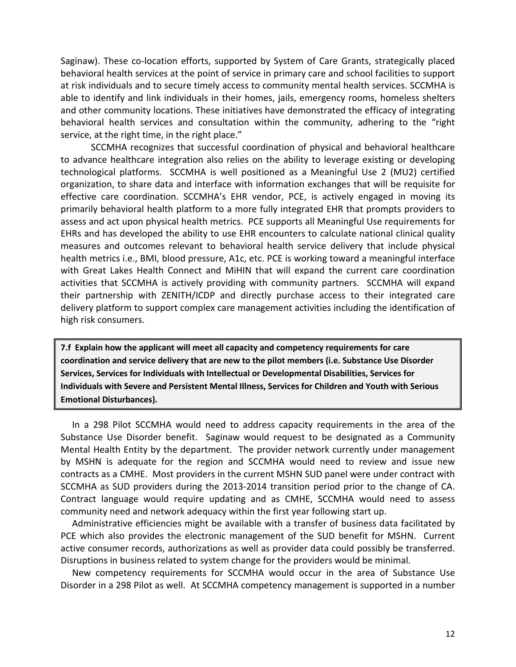Saginaw). These co-location efforts, supported by System of Care Grants, strategically placed behavioral health services at the point of service in primary care and school facilities to support at risk individuals and to secure timely access to community mental health services. SCCMHA is able to identify and link individuals in their homes, jails, emergency rooms, homeless shelters and other community locations. These initiatives have demonstrated the efficacy of integrating behavioral health services and consultation within the community, adhering to the "right service, at the right time, in the right place."

SCCMHA recognizes that successful coordination of physical and behavioral healthcare to advance healthcare integration also relies on the ability to leverage existing or developing technological platforms. SCCMHA is well positioned as a Meaningful Use 2 (MU2) certified organization, to share data and interface with information exchanges that will be requisite for effective care coordination. SCCMHA's EHR vendor, PCE, is actively engaged in moving its primarily behavioral health platform to a more fully integrated EHR that prompts providers to assess and act upon physical health metrics. PCE supports all Meaningful Use requirements for EHRs and has developed the ability to use EHR encounters to calculate national clinical quality measures and outcomes relevant to behavioral health service delivery that include physical health metrics i.e., BMI, blood pressure, A1c, etc. PCE is working toward a meaningful interface with Great Lakes Health Connect and MiHIN that will expand the current care coordination activities that SCCMHA is actively providing with community partners. SCCMHA will expand their partnership with ZENITH/ICDP and directly purchase access to their integrated care delivery platform to support complex care management activities including the identification of high risk consumers.

**7.f Explain how the applicant will meet all capacity and competency requirements for care coordination and service delivery that are new to the pilot members (i.e. Substance Use Disorder Services, Services for Individuals with Intellectual or Developmental Disabilities, Services for Individuals with Severe and Persistent Mental Illness, Services for Children and Youth with Serious Emotional Disturbances).** 

In a 298 Pilot SCCMHA would need to address capacity requirements in the area of the Substance Use Disorder benefit. Saginaw would request to be designated as a Community Mental Health Entity by the department. The provider network currently under management by MSHN is adequate for the region and SCCMHA would need to review and issue new contracts as a CMHE. Most providers in the current MSHN SUD panel were under contract with SCCMHA as SUD providers during the 2013-2014 transition period prior to the change of CA. Contract language would require updating and as CMHE, SCCMHA would need to assess community need and network adequacy within the first year following start up.

Administrative efficiencies might be available with a transfer of business data facilitated by PCE which also provides the electronic management of the SUD benefit for MSHN. Current active consumer records, authorizations as well as provider data could possibly be transferred. Disruptions in business related to system change for the providers would be minimal.

New competency requirements for SCCMHA would occur in the area of Substance Use Disorder in a 298 Pilot as well. At SCCMHA competency management is supported in a number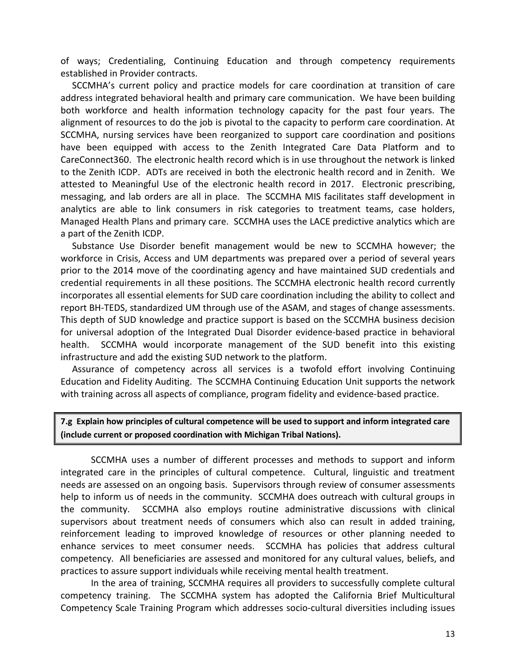of ways; Credentialing, Continuing Education and through competency requirements established in Provider contracts.

SCCMHA's current policy and practice models for care coordination at transition of care address integrated behavioral health and primary care communication. We have been building both workforce and health information technology capacity for the past four years. The alignment of resources to do the job is pivotal to the capacity to perform care coordination. At SCCMHA, nursing services have been reorganized to support care coordination and positions have been equipped with access to the Zenith Integrated Care Data Platform and to CareConnect360. The electronic health record which is in use throughout the network is linked to the Zenith ICDP. ADTs are received in both the electronic health record and in Zenith. We attested to Meaningful Use of the electronic health record in 2017. Electronic prescribing, messaging, and lab orders are all in place. The SCCMHA MIS facilitates staff development in analytics are able to link consumers in risk categories to treatment teams, case holders, Managed Health Plans and primary care. SCCMHA uses the LACE predictive analytics which are a part of the Zenith ICDP.

Substance Use Disorder benefit management would be new to SCCMHA however; the workforce in Crisis, Access and UM departments was prepared over a period of several years prior to the 2014 move of the coordinating agency and have maintained SUD credentials and credential requirements in all these positions. The SCCMHA electronic health record currently incorporates all essential elements for SUD care coordination including the ability to collect and report BH-TEDS, standardized UM through use of the ASAM, and stages of change assessments. This depth of SUD knowledge and practice support is based on the SCCMHA business decision for universal adoption of the Integrated Dual Disorder evidence-based practice in behavioral health. SCCMHA would incorporate management of the SUD benefit into this existing infrastructure and add the existing SUD network to the platform.

Assurance of competency across all services is a twofold effort involving Continuing Education and Fidelity Auditing. The SCCMHA Continuing Education Unit supports the network with training across all aspects of compliance, program fidelity and evidence-based practice.

**7.g Explain how principles of cultural competence will be used to support and inform integrated care (include current or proposed coordination with Michigan Tribal Nations).**

SCCMHA uses a number of different processes and methods to support and inform integrated care in the principles of cultural competence. Cultural, linguistic and treatment needs are assessed on an ongoing basis. Supervisors through review of consumer assessments help to inform us of needs in the community. SCCMHA does outreach with cultural groups in the community. SCCMHA also employs routine administrative discussions with clinical supervisors about treatment needs of consumers which also can result in added training, reinforcement leading to improved knowledge of resources or other planning needed to enhance services to meet consumer needs. SCCMHA has policies that address cultural competency. All beneficiaries are assessed and monitored for any cultural values, beliefs, and practices to assure support individuals while receiving mental health treatment.

In the area of training, SCCMHA requires all providers to successfully complete cultural competency training. The SCCMHA system has adopted the California Brief Multicultural Competency Scale Training Program which addresses socio-cultural diversities including issues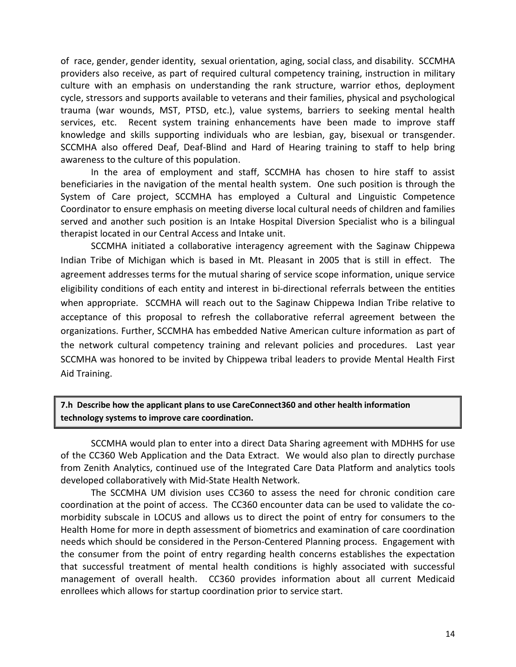of race, gender, gender identity, sexual orientation, aging, social class, and disability. SCCMHA providers also receive, as part of required cultural competency training, instruction in military culture with an emphasis on understanding the rank structure, warrior ethos, deployment cycle, stressors and supports available to veterans and their families, physical and psychological trauma (war wounds, MST, PTSD, etc.), value systems, barriers to seeking mental health services, etc. Recent system training enhancements have been made to improve staff knowledge and skills supporting individuals who are lesbian, gay, bisexual or transgender. SCCMHA also offered Deaf, Deaf-Blind and Hard of Hearing training to staff to help bring awareness to the culture of this population.

In the area of employment and staff, SCCMHA has chosen to hire staff to assist beneficiaries in the navigation of the mental health system. One such position is through the System of Care project, SCCMHA has employed a Cultural and Linguistic Competence Coordinator to ensure emphasis on meeting diverse local cultural needs of children and families served and another such position is an Intake Hospital Diversion Specialist who is a bilingual therapist located in our Central Access and Intake unit.

SCCMHA initiated a collaborative interagency agreement with the Saginaw Chippewa Indian Tribe of Michigan which is based in Mt. Pleasant in 2005 that is still in effect. The agreement addresses terms for the mutual sharing of service scope information, unique service eligibility conditions of each entity and interest in bi-directional referrals between the entities when appropriate. SCCMHA will reach out to the Saginaw Chippewa Indian Tribe relative to acceptance of this proposal to refresh the collaborative referral agreement between the organizations. Further, SCCMHA has embedded Native American culture information as part of the network cultural competency training and relevant policies and procedures. Last year SCCMHA was honored to be invited by Chippewa tribal leaders to provide Mental Health First Aid Training.

### **7.h Describe how the applicant plans to use CareConnect360 and other health information technology systems to improve care coordination.**

SCCMHA would plan to enter into a direct Data Sharing agreement with MDHHS for use of the CC360 Web Application and the Data Extract. We would also plan to directly purchase from Zenith Analytics, continued use of the Integrated Care Data Platform and analytics tools developed collaboratively with Mid-State Health Network.

The SCCMHA UM division uses CC360 to assess the need for chronic condition care coordination at the point of access. The CC360 encounter data can be used to validate the comorbidity subscale in LOCUS and allows us to direct the point of entry for consumers to the Health Home for more in depth assessment of biometrics and examination of care coordination needs which should be considered in the Person-Centered Planning process. Engagement with the consumer from the point of entry regarding health concerns establishes the expectation that successful treatment of mental health conditions is highly associated with successful management of overall health. CC360 provides information about all current Medicaid enrollees which allows for startup coordination prior to service start.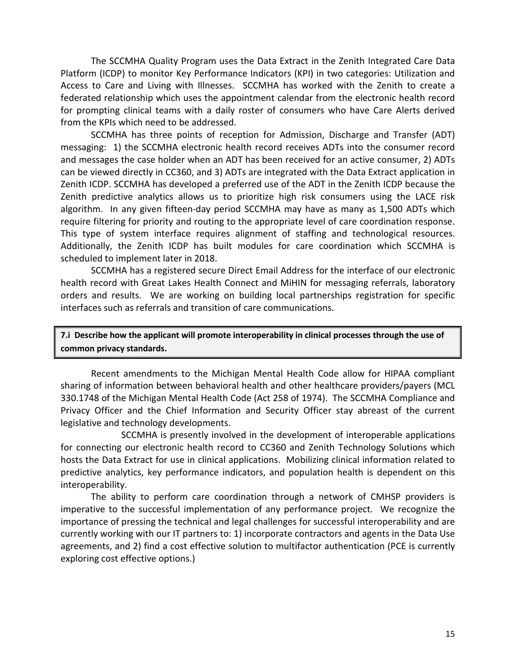The SCCMHA Quality Program uses the Data Extract in the Zenith Integrated Care Data Platform (ICDP) to monitor Key Performance Indicators (KPI) in two categories: Utilization and Access to Care and Living with Illnesses. SCCMHA has worked with the Zenith to create a federated relationship which uses the appointment calendar from the electronic health record for prompting clinical teams with a daily roster of consumers who have Care Alerts derived from the KPIs which need to be addressed.

SCCMHA has three points of reception for Admission, Discharge and Transfer (ADT) messaging: 1) the SCCMHA electronic health record receives ADTs into the consumer record and messages the case holder when an ADT has been received for an active consumer, 2) ADTs can be viewed directly in CC360, and 3) ADTs are integrated with the Data Extract application in Zenith ICDP. SCCMHA has developed a preferred use of the ADT in the Zenith ICDP because the Zenith predictive analytics allows us to prioritize high risk consumers using the LACE risk algorithm. In any given fifteen-day period SCCMHA may have as many as 1,500 ADTs which require filtering for priority and routing to the appropriate level of care coordination response. This type of system interface requires alignment of staffing and technological resources. Additionally, the Zenith ICDP has built modules for care coordination which SCCMHA is scheduled to implement later in 2018.

SCCMHA has a registered secure Direct Email Address for the interface of our electronic health record with Great Lakes Health Connect and MiHIN for messaging referrals, laboratory orders and results. We are working on building local partnerships registration for specific interfaces such as referrals and transition of care communications.

**7.i Describe how the applicant will promote interoperability in clinical processes through the use of common privacy standards.**

Recent amendments to the Michigan Mental Health Code allow for HIPAA compliant sharing of information between behavioral health and other healthcare providers/payers (MCL 330.1748 of the Michigan Mental Health Code (Act 258 of 1974). The SCCMHA Compliance and Privacy Officer and the Chief Information and Security Officer stay abreast of the current legislative and technology developments.

SCCMHA is presently involved in the development of interoperable applications for connecting our electronic health record to CC360 and Zenith Technology Solutions which hosts the Data Extract for use in clinical applications. Mobilizing clinical information related to predictive analytics, key performance indicators, and population health is dependent on this interoperability.

The ability to perform care coordination through a network of CMHSP providers is imperative to the successful implementation of any performance project. We recognize the importance of pressing the technical and legal challenges for successful interoperability and are currently working with our IT partners to: 1) incorporate contractors and agents in the Data Use agreements, and 2) find a cost effective solution to multifactor authentication (PCE is currently exploring cost effective options.)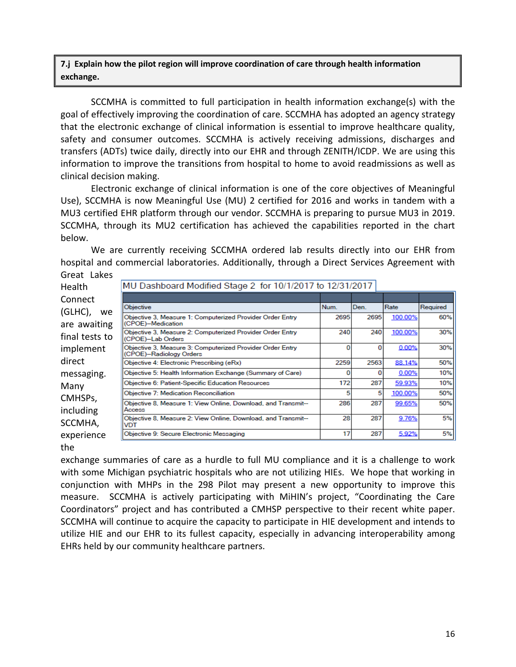### **7.j Explain how the pilot region will improve coordination of care through health information exchange.**

SCCMHA is committed to full participation in health information exchange(s) with the goal of effectively improving the coordination of care. SCCMHA has adopted an agency strategy that the electronic exchange of clinical information is essential to improve healthcare quality, safety and consumer outcomes. SCCMHA is actively receiving admissions, discharges and transfers (ADTs) twice daily, directly into our EHR and through ZENITH/ICDP. We are using this information to improve the transitions from hospital to home to avoid readmissions as well as clinical decision making.

Electronic exchange of clinical information is one of the core objectives of Meaningful Use), SCCMHA is now Meaningful Use (MU) 2 certified for 2016 and works in tandem with a MU3 certified EHR platform through our vendor. SCCMHA is preparing to pursue MU3 in 2019. SCCMHA, through its MU2 certification has achieved the capabilities reported in the chart below.

We are currently receiving SCCMHA ordered lab results directly into our EHR from hospital and commercial laboratories. Additionally, through a Direct Services Agreement with Great Lakes

| GIEDL LONES          |                                                                                      |      |      |         |          |  |  |  |  |
|----------------------|--------------------------------------------------------------------------------------|------|------|---------|----------|--|--|--|--|
| <b>Health</b>        | MU Dashboard Modified Stage 2 for 10/1/2017 to 12/31/2017                            |      |      |         |          |  |  |  |  |
| Connect              |                                                                                      |      |      |         |          |  |  |  |  |
| (GLHC),<br>we.       | Objective                                                                            | Num. | Den. | Rate    | Required |  |  |  |  |
| are awaiting         | Objective 3. Measure 1: Computerized Provider Order Entry<br>(CPOE)-Medication       | 2695 | 2695 | 100.00% | 60%      |  |  |  |  |
| final tests to       | Objective 3, Measure 2: Computerized Provider Order Entry<br>(CPOE)-Lab Orders       | 240  | 240  | 100.00% | 30%      |  |  |  |  |
| implement            | Objective 3, Measure 3: Computerized Provider Order Entry<br>(CPOE)-Radiology Orders | o    | 0    | 0.00%   | 30%      |  |  |  |  |
| direct               | Objective 4: Electronic Prescribing (eRx)                                            | 2259 | 2563 | 88.14%  | 50%      |  |  |  |  |
| messaging.           | Objective 5: Health Information Exchange (Summary of Care)                           |      |      | 0.00%   | 10%      |  |  |  |  |
| Many                 | Objective 6: Patient-Specific Education Resources                                    | 172  | 287  | 59.93%  | 10%      |  |  |  |  |
| CMHSP <sub>s</sub> , | Objective 7: Medication Reconciliation                                               | 5    | 5    | 100.00% | 50%      |  |  |  |  |
|                      | Objective 8, Measure 1: View Online, Download, and Transmit--                        | 286  | 287  | 99.65%  | 50%      |  |  |  |  |
| including            | Access<br>Objective 8, Measure 2: View Online, Download, and Transmit--              | 28   | 287  | 9.76%   | 5%       |  |  |  |  |
| SCCMHA,              | VDT                                                                                  |      |      |         |          |  |  |  |  |
| experience           | Objective 9: Secure Electronic Messaging                                             | 17   | 287  | 5.92%   | 5%       |  |  |  |  |
|                      |                                                                                      |      |      |         |          |  |  |  |  |

the

exchange summaries of care as a hurdle to full MU compliance and it is a challenge to work with some Michigan psychiatric hospitals who are not utilizing HIEs. We hope that working in conjunction with MHPs in the 298 Pilot may present a new opportunity to improve this measure. SCCMHA is actively participating with MiHIN's project, "Coordinating the Care Coordinators" project and has contributed a CMHSP perspective to their recent white paper. SCCMHA will continue to acquire the capacity to participate in HIE development and intends to utilize HIE and our EHR to its fullest capacity, especially in advancing interoperability among EHRs held by our community healthcare partners.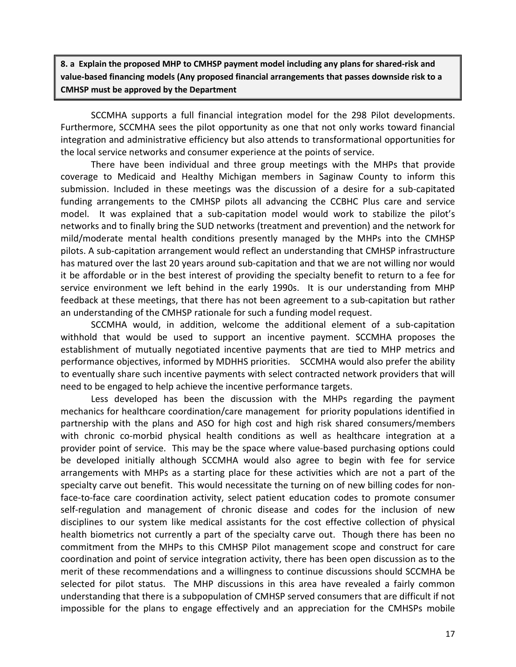**8. a Explain the proposed MHP to CMHSP payment model including any plans for shared-risk and value-based financing models (Any proposed financial arrangements that passes downside risk to a CMHSP must be approved by the Department** 

SCCMHA supports a full financial integration model for the 298 Pilot developments. Furthermore, SCCMHA sees the pilot opportunity as one that not only works toward financial integration and administrative efficiency but also attends to transformational opportunities for the local service networks and consumer experience at the points of service.

There have been individual and three group meetings with the MHPs that provide coverage to Medicaid and Healthy Michigan members in Saginaw County to inform this submission. Included in these meetings was the discussion of a desire for a sub-capitated funding arrangements to the CMHSP pilots all advancing the CCBHC Plus care and service model. It was explained that a sub-capitation model would work to stabilize the pilot's networks and to finally bring the SUD networks (treatment and prevention) and the network for mild/moderate mental health conditions presently managed by the MHPs into the CMHSP pilots. A sub-capitation arrangement would reflect an understanding that CMHSP infrastructure has matured over the last 20 years around sub-capitation and that we are not willing nor would it be affordable or in the best interest of providing the specialty benefit to return to a fee for service environment we left behind in the early 1990s. It is our understanding from MHP feedback at these meetings, that there has not been agreement to a sub-capitation but rather an understanding of the CMHSP rationale for such a funding model request.

SCCMHA would, in addition, welcome the additional element of a sub-capitation withhold that would be used to support an incentive payment. SCCMHA proposes the establishment of mutually negotiated incentive payments that are tied to MHP metrics and performance objectives, informed by MDHHS priorities. SCCMHA would also prefer the ability to eventually share such incentive payments with select contracted network providers that will need to be engaged to help achieve the incentive performance targets.

Less developed has been the discussion with the MHPs regarding the payment mechanics for healthcare coordination/care management for priority populations identified in partnership with the plans and ASO for high cost and high risk shared consumers/members with chronic co-morbid physical health conditions as well as healthcare integration at a provider point of service. This may be the space where value-based purchasing options could be developed initially although SCCMHA would also agree to begin with fee for service arrangements with MHPs as a starting place for these activities which are not a part of the specialty carve out benefit. This would necessitate the turning on of new billing codes for nonface-to-face care coordination activity, select patient education codes to promote consumer self-regulation and management of chronic disease and codes for the inclusion of new disciplines to our system like medical assistants for the cost effective collection of physical health biometrics not currently a part of the specialty carve out. Though there has been no commitment from the MHPs to this CMHSP Pilot management scope and construct for care coordination and point of service integration activity, there has been open discussion as to the merit of these recommendations and a willingness to continue discussions should SCCMHA be selected for pilot status. The MHP discussions in this area have revealed a fairly common understanding that there is a subpopulation of CMHSP served consumers that are difficult if not impossible for the plans to engage effectively and an appreciation for the CMHSPs mobile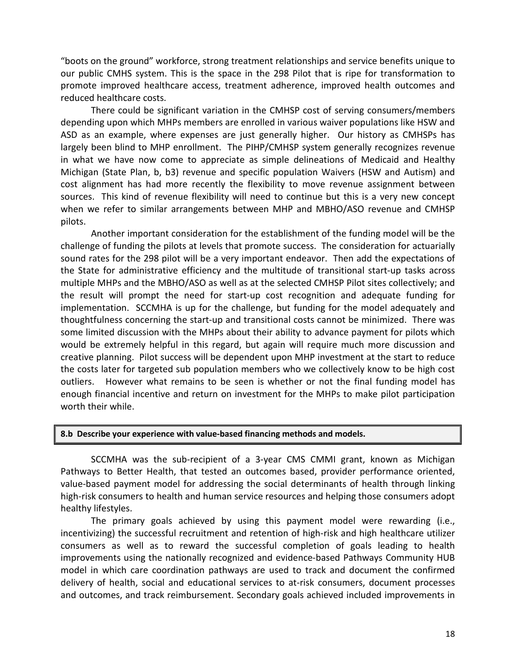"boots on the ground" workforce, strong treatment relationships and service benefits unique to our public CMHS system. This is the space in the 298 Pilot that is ripe for transformation to promote improved healthcare access, treatment adherence, improved health outcomes and reduced healthcare costs.

There could be significant variation in the CMHSP cost of serving consumers/members depending upon which MHPs members are enrolled in various waiver populations like HSW and ASD as an example, where expenses are just generally higher. Our history as CMHSPs has largely been blind to MHP enrollment. The PIHP/CMHSP system generally recognizes revenue in what we have now come to appreciate as simple delineations of Medicaid and Healthy Michigan (State Plan, b, b3) revenue and specific population Waivers (HSW and Autism) and cost alignment has had more recently the flexibility to move revenue assignment between sources. This kind of revenue flexibility will need to continue but this is a very new concept when we refer to similar arrangements between MHP and MBHO/ASO revenue and CMHSP pilots.

Another important consideration for the establishment of the funding model will be the challenge of funding the pilots at levels that promote success. The consideration for actuarially sound rates for the 298 pilot will be a very important endeavor. Then add the expectations of the State for administrative efficiency and the multitude of transitional start-up tasks across multiple MHPs and the MBHO/ASO as well as at the selected CMHSP Pilot sites collectively; and the result will prompt the need for start-up cost recognition and adequate funding for implementation. SCCMHA is up for the challenge, but funding for the model adequately and thoughtfulness concerning the start-up and transitional costs cannot be minimized. There was some limited discussion with the MHPs about their ability to advance payment for pilots which would be extremely helpful in this regard, but again will require much more discussion and creative planning. Pilot success will be dependent upon MHP investment at the start to reduce the costs later for targeted sub population members who we collectively know to be high cost outliers. However what remains to be seen is whether or not the final funding model has enough financial incentive and return on investment for the MHPs to make pilot participation worth their while.

#### **8.b Describe your experience with value-based financing methods and models.**

SCCMHA was the sub-recipient of a 3-year CMS CMMI grant, known as Michigan Pathways to Better Health, that tested an outcomes based, provider performance oriented, value-based payment model for addressing the social determinants of health through linking high-risk consumers to health and human service resources and helping those consumers adopt healthy lifestyles.

The primary goals achieved by using this payment model were rewarding (i.e., incentivizing) the successful recruitment and retention of high-risk and high healthcare utilizer consumers as well as to reward the successful completion of goals leading to health improvements using the nationally recognized and evidence-based Pathways Community HUB model in which care coordination pathways are used to track and document the confirmed delivery of health, social and educational services to at-risk consumers, document processes and outcomes, and track reimbursement. Secondary goals achieved included improvements in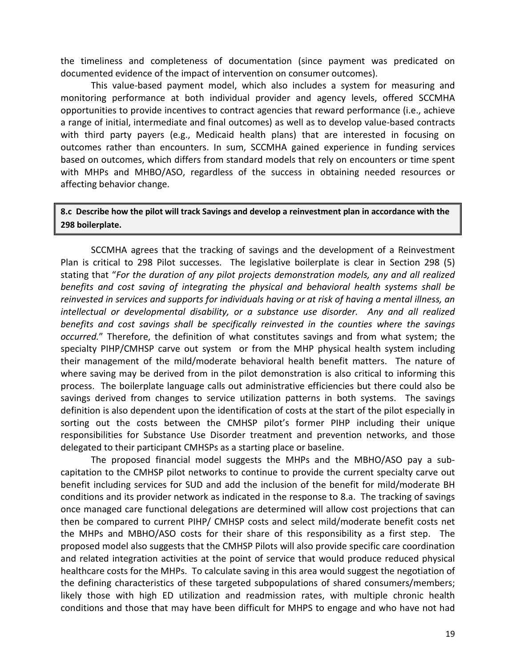the timeliness and completeness of documentation (since payment was predicated on documented evidence of the impact of intervention on consumer outcomes).

This value-based payment model, which also includes a system for measuring and monitoring performance at both individual provider and agency levels, offered SCCMHA opportunities to provide incentives to contract agencies that reward performance (i.e., achieve a range of initial, intermediate and final outcomes) as well as to develop value-based contracts with third party payers (e.g., Medicaid health plans) that are interested in focusing on outcomes rather than encounters. In sum, SCCMHA gained experience in funding services based on outcomes, which differs from standard models that rely on encounters or time spent with MHPs and MHBO/ASO, regardless of the success in obtaining needed resources or affecting behavior change.

**8.c Describe how the pilot will track Savings and develop a reinvestment plan in accordance with the 298 boilerplate.**

SCCMHA agrees that the tracking of savings and the development of a Reinvestment Plan is critical to 298 Pilot successes. The legislative boilerplate is clear in Section 298 (5) stating that "*For the duration of any pilot projects demonstration models, any and all realized benefits and cost saving of integrating the physical and behavioral health systems shall be reinvested in services and supports for individuals having or at risk of having a mental illness, an intellectual or developmental disability, or a substance use disorder. Any and all realized benefits and cost savings shall be specifically reinvested in the counties where the savings occurred.*" Therefore, the definition of what constitutes savings and from what system; the specialty PIHP/CMHSP carve out system or from the MHP physical health system including their management of the mild/moderate behavioral health benefit matters. The nature of where saving may be derived from in the pilot demonstration is also critical to informing this process. The boilerplate language calls out administrative efficiencies but there could also be savings derived from changes to service utilization patterns in both systems. The savings definition is also dependent upon the identification of costs at the start of the pilot especially in sorting out the costs between the CMHSP pilot's former PIHP including their unique responsibilities for Substance Use Disorder treatment and prevention networks, and those delegated to their participant CMHSPs as a starting place or baseline.

The proposed financial model suggests the MHPs and the MBHO/ASO pay a subcapitation to the CMHSP pilot networks to continue to provide the current specialty carve out benefit including services for SUD and add the inclusion of the benefit for mild/moderate BH conditions and its provider network as indicated in the response to 8.a. The tracking of savings once managed care functional delegations are determined will allow cost projections that can then be compared to current PIHP/ CMHSP costs and select mild/moderate benefit costs net the MHPs and MBHO/ASO costs for their share of this responsibility as a first step. The proposed model also suggests that the CMHSP Pilots will also provide specific care coordination and related integration activities at the point of service that would produce reduced physical healthcare costs for the MHPs. To calculate saving in this area would suggest the negotiation of the defining characteristics of these targeted subpopulations of shared consumers/members; likely those with high ED utilization and readmission rates, with multiple chronic health conditions and those that may have been difficult for MHPS to engage and who have not had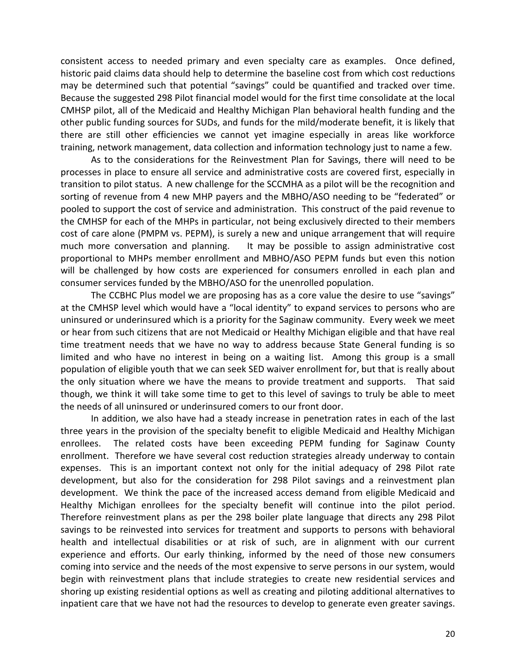consistent access to needed primary and even specialty care as examples. Once defined, historic paid claims data should help to determine the baseline cost from which cost reductions may be determined such that potential "savings" could be quantified and tracked over time. Because the suggested 298 Pilot financial model would for the first time consolidate at the local CMHSP pilot, all of the Medicaid and Healthy Michigan Plan behavioral health funding and the other public funding sources for SUDs, and funds for the mild/moderate benefit, it is likely that there are still other efficiencies we cannot yet imagine especially in areas like workforce training, network management, data collection and information technology just to name a few.

As to the considerations for the Reinvestment Plan for Savings, there will need to be processes in place to ensure all service and administrative costs are covered first, especially in transition to pilot status. A new challenge for the SCCMHA as a pilot will be the recognition and sorting of revenue from 4 new MHP payers and the MBHO/ASO needing to be "federated" or pooled to support the cost of service and administration. This construct of the paid revenue to the CMHSP for each of the MHPs in particular, not being exclusively directed to their members cost of care alone (PMPM vs. PEPM), is surely a new and unique arrangement that will require much more conversation and planning. It may be possible to assign administrative cost proportional to MHPs member enrollment and MBHO/ASO PEPM funds but even this notion will be challenged by how costs are experienced for consumers enrolled in each plan and consumer services funded by the MBHO/ASO for the unenrolled population.

The CCBHC Plus model we are proposing has as a core value the desire to use "savings" at the CMHSP level which would have a "local identity" to expand services to persons who are uninsured or underinsured which is a priority for the Saginaw community. Every week we meet or hear from such citizens that are not Medicaid or Healthy Michigan eligible and that have real time treatment needs that we have no way to address because State General funding is so limited and who have no interest in being on a waiting list. Among this group is a small population of eligible youth that we can seek SED waiver enrollment for, but that is really about the only situation where we have the means to provide treatment and supports. That said though, we think it will take some time to get to this level of savings to truly be able to meet the needs of all uninsured or underinsured comers to our front door.

In addition, we also have had a steady increase in penetration rates in each of the last three years in the provision of the specialty benefit to eligible Medicaid and Healthy Michigan enrollees. The related costs have been exceeding PEPM funding for Saginaw County enrollment. Therefore we have several cost reduction strategies already underway to contain expenses. This is an important context not only for the initial adequacy of 298 Pilot rate development, but also for the consideration for 298 Pilot savings and a reinvestment plan development. We think the pace of the increased access demand from eligible Medicaid and Healthy Michigan enrollees for the specialty benefit will continue into the pilot period. Therefore reinvestment plans as per the 298 boiler plate language that directs any 298 Pilot savings to be reinvested into services for treatment and supports to persons with behavioral health and intellectual disabilities or at risk of such, are in alignment with our current experience and efforts. Our early thinking, informed by the need of those new consumers coming into service and the needs of the most expensive to serve persons in our system, would begin with reinvestment plans that include strategies to create new residential services and shoring up existing residential options as well as creating and piloting additional alternatives to inpatient care that we have not had the resources to develop to generate even greater savings.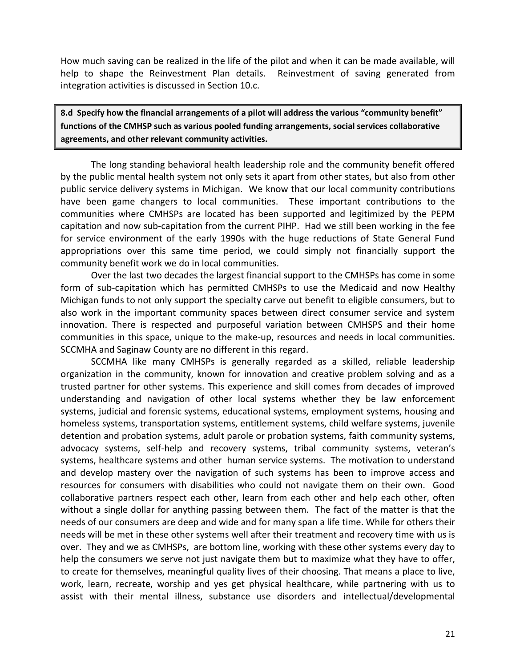How much saving can be realized in the life of the pilot and when it can be made available, will help to shape the Reinvestment Plan details. Reinvestment of saving generated from integration activities is discussed in Section 10.c.

**8.d Specify how the financial arrangements of a pilot will address the various "community benefit" functions of the CMHSP such as various pooled funding arrangements, social services collaborative agreements, and other relevant community activities.**

The long standing behavioral health leadership role and the community benefit offered by the public mental health system not only sets it apart from other states, but also from other public service delivery systems in Michigan. We know that our local community contributions have been game changers to local communities. These important contributions to the communities where CMHSPs are located has been supported and legitimized by the PEPM capitation and now sub-capitation from the current PIHP. Had we still been working in the fee for service environment of the early 1990s with the huge reductions of State General Fund appropriations over this same time period, we could simply not financially support the community benefit work we do in local communities.

Over the last two decades the largest financial support to the CMHSPs has come in some form of sub-capitation which has permitted CMHSPs to use the Medicaid and now Healthy Michigan funds to not only support the specialty carve out benefit to eligible consumers, but to also work in the important community spaces between direct consumer service and system innovation. There is respected and purposeful variation between CMHSPS and their home communities in this space, unique to the make-up, resources and needs in local communities. SCCMHA and Saginaw County are no different in this regard.

SCCMHA like many CMHSPs is generally regarded as a skilled, reliable leadership organization in the community, known for innovation and creative problem solving and as a trusted partner for other systems. This experience and skill comes from decades of improved understanding and navigation of other local systems whether they be law enforcement systems, judicial and forensic systems, educational systems, employment systems, housing and homeless systems, transportation systems, entitlement systems, child welfare systems, juvenile detention and probation systems, adult parole or probation systems, faith community systems, advocacy systems, self-help and recovery systems, tribal community systems, veteran's systems, healthcare systems and other human service systems. The motivation to understand and develop mastery over the navigation of such systems has been to improve access and resources for consumers with disabilities who could not navigate them on their own. Good collaborative partners respect each other, learn from each other and help each other, often without a single dollar for anything passing between them. The fact of the matter is that the needs of our consumers are deep and wide and for many span a life time. While for others their needs will be met in these other systems well after their treatment and recovery time with us is over. They and we as CMHSPs, are bottom line, working with these other systems every day to help the consumers we serve not just navigate them but to maximize what they have to offer, to create for themselves, meaningful quality lives of their choosing. That means a place to live, work, learn, recreate, worship and yes get physical healthcare, while partnering with us to assist with their mental illness, substance use disorders and intellectual/developmental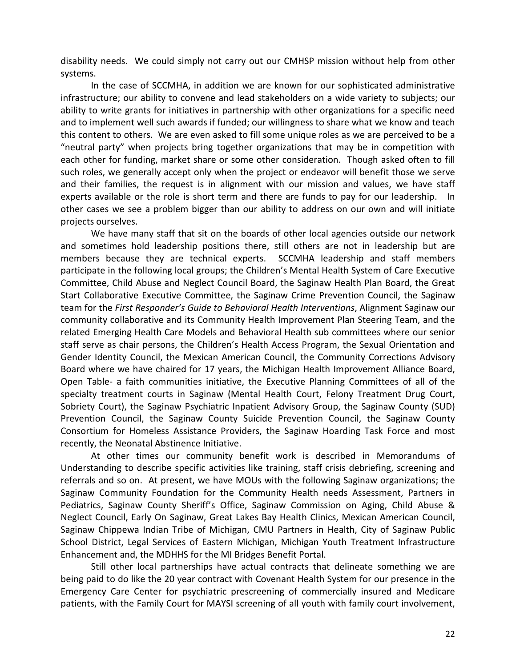disability needs. We could simply not carry out our CMHSP mission without help from other systems.

In the case of SCCMHA, in addition we are known for our sophisticated administrative infrastructure; our ability to convene and lead stakeholders on a wide variety to subjects; our ability to write grants for initiatives in partnership with other organizations for a specific need and to implement well such awards if funded; our willingness to share what we know and teach this content to others. We are even asked to fill some unique roles as we are perceived to be a "neutral party" when projects bring together organizations that may be in competition with each other for funding, market share or some other consideration. Though asked often to fill such roles, we generally accept only when the project or endeavor will benefit those we serve and their families, the request is in alignment with our mission and values, we have staff experts available or the role is short term and there are funds to pay for our leadership. In other cases we see a problem bigger than our ability to address on our own and will initiate projects ourselves.

We have many staff that sit on the boards of other local agencies outside our network and sometimes hold leadership positions there, still others are not in leadership but are members because they are technical experts. SCCMHA leadership and staff members participate in the following local groups; the Children's Mental Health System of Care Executive Committee, Child Abuse and Neglect Council Board, the Saginaw Health Plan Board, the Great Start Collaborative Executive Committee, the Saginaw Crime Prevention Council, the Saginaw team for the *First Responder's Guide to Behavioral Health Interventions*, Alignment Saginaw our community collaborative and its Community Health Improvement Plan Steering Team, and the related Emerging Health Care Models and Behavioral Health sub committees where our senior staff serve as chair persons, the Children's Health Access Program, the Sexual Orientation and Gender Identity Council, the Mexican American Council, the Community Corrections Advisory Board where we have chaired for 17 years, the Michigan Health Improvement Alliance Board, Open Table- a faith communities initiative, the Executive Planning Committees of all of the specialty treatment courts in Saginaw (Mental Health Court, Felony Treatment Drug Court, Sobriety Court), the Saginaw Psychiatric Inpatient Advisory Group, the Saginaw County (SUD) Prevention Council, the Saginaw County Suicide Prevention Council, the Saginaw County Consortium for Homeless Assistance Providers, the Saginaw Hoarding Task Force and most recently, the Neonatal Abstinence Initiative.

At other times our community benefit work is described in Memorandums of Understanding to describe specific activities like training, staff crisis debriefing, screening and referrals and so on. At present, we have MOUs with the following Saginaw organizations; the Saginaw Community Foundation for the Community Health needs Assessment, Partners in Pediatrics, Saginaw County Sheriff's Office, Saginaw Commission on Aging, Child Abuse & Neglect Council, Early On Saginaw, Great Lakes Bay Health Clinics, Mexican American Council, Saginaw Chippewa Indian Tribe of Michigan, CMU Partners in Health, City of Saginaw Public School District, Legal Services of Eastern Michigan, Michigan Youth Treatment Infrastructure Enhancement and, the MDHHS for the MI Bridges Benefit Portal.

Still other local partnerships have actual contracts that delineate something we are being paid to do like the 20 year contract with Covenant Health System for our presence in the Emergency Care Center for psychiatric prescreening of commercially insured and Medicare patients, with the Family Court for MAYSI screening of all youth with family court involvement,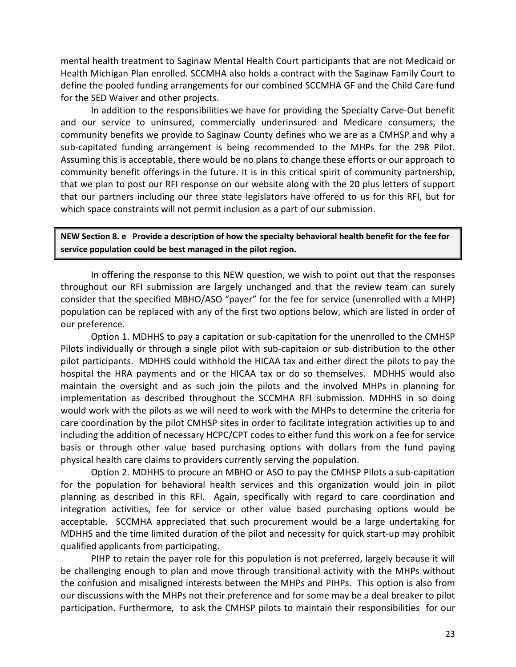mental health treatment to Saginaw Mental Health Court participants that are not Medicaid or Health Michigan Plan enrolled. SCCMHA also holds a contract with the Saginaw Family Court to define the pooled funding arrangements for our combined SCCMHA GF and the Child Care fund for the SED Waiver and other projects.

In addition to the responsibilities we have for providing the Specialty Carve-Out benefit and our service to uninsured, commercially underinsured and Medicare consumers, the community benefits we provide to Saginaw County defines who we are as a CMHSP and why a sub-capitated funding arrangement is being recommended to the MHPs for the 298 Pilot. Assuming this is acceptable, there would be no plans to change these efforts or our approach to community benefit offerings in the future. It is in this critical spirit of community partnership, that we plan to post our RFI response on our website along with the 20 plus letters of support that our partners including our three state legislators have offered to us for this RFI, but for which space constraints will not permit inclusion as a part of our submission.

**NEW Section 8. e Provide a description of how the specialty behavioral health benefit for the fee for service population could be best managed in the pilot region.**

In offering the response to this NEW question, we wish to point out that the responses throughout our RFI submission are largely unchanged and that the review team can surely consider that the specified MBHO/ASO "payer" for the fee for service (unenrolled with a MHP) population can be replaced with any of the first two options below, which are listed in order of our preference.

Option 1. MDHHS to pay a capitation or sub-capitation for the unenrolled to the CMHSP Pilots individually or through a single pilot with sub-capitaion or sub distribution to the other pilot participants. MDHHS could withhold the HICAA tax and either direct the pilots to pay the hospital the HRA payments and or the HICAA tax or do so themselves. MDHHS would also maintain the oversight and as such join the pilots and the involved MHPs in planning for implementation as described throughout the SCCMHA RFI submission. MDHHS in so doing would work with the pilots as we will need to work with the MHPs to determine the criteria for care coordination by the pilot CMHSP sites in order to facilitate integration activities up to and including the addition of necessary HCPC/CPT codes to either fund this work on a fee for service basis or through other value based purchasing options with dollars from the fund paying physical health care claims to providers currently serving the population.

Option 2. MDHHS to procure an MBHO or ASO to pay the CMHSP Pilots a sub-capitation for the population for behavioral health services and this organization would join in pilot planning as described in this RFI. Again, specifically with regard to care coordination and integration activities, fee for service or other value based purchasing options would be acceptable. SCCMHA appreciated that such procurement would be a large undertaking for MDHHS and the time limited duration of the pilot and necessity for quick start-up may prohibit qualified applicants from participating.

PIHP to retain the payer role for this population is not preferred, largely because it will be challenging enough to plan and move through transitional activity with the MHPs without the confusion and misaligned interests between the MHPs and PIHPs. This option is also from our discussions with the MHPs not their preference and for some may be a deal breaker to pilot participation. Furthermore, to ask the CMHSP pilots to maintain their responsibilities for our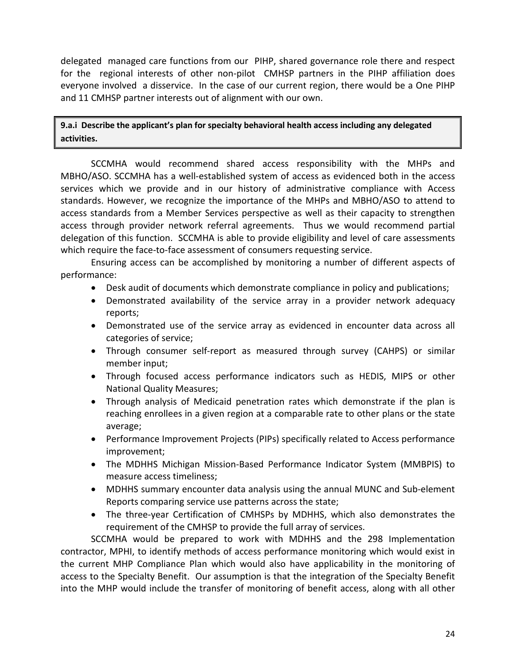delegated managed care functions from our PIHP, shared governance role there and respect for the regional interests of other non-pilot CMHSP partners in the PIHP affiliation does everyone involved a disservice. In the case of our current region, there would be a One PIHP and 11 CMHSP partner interests out of alignment with our own.

**9.a.i Describe the applicant's plan for specialty behavioral health access including any delegated activities.**

SCCMHA would recommend shared access responsibility with the MHPs and MBHO/ASO. SCCMHA has a well-established system of access as evidenced both in the access services which we provide and in our history of administrative compliance with Access standards. However, we recognize the importance of the MHPs and MBHO/ASO to attend to access standards from a Member Services perspective as well as their capacity to strengthen access through provider network referral agreements. Thus we would recommend partial delegation of this function. SCCMHA is able to provide eligibility and level of care assessments which require the face-to-face assessment of consumers requesting service.

Ensuring access can be accomplished by monitoring a number of different aspects of performance:

- Desk audit of documents which demonstrate compliance in policy and publications;
- Demonstrated availability of the service array in a provider network adequacy reports;
- Demonstrated use of the service array as evidenced in encounter data across all categories of service;
- Through consumer self-report as measured through survey (CAHPS) or similar member input;
- Through focused access performance indicators such as HEDIS, MIPS or other National Quality Measures;
- Through analysis of Medicaid penetration rates which demonstrate if the plan is reaching enrollees in a given region at a comparable rate to other plans or the state average;
- Performance Improvement Projects (PIPs) specifically related to Access performance improvement;
- The MDHHS Michigan Mission-Based Performance Indicator System (MMBPIS) to measure access timeliness;
- MDHHS summary encounter data analysis using the annual MUNC and Sub-element Reports comparing service use patterns across the state;
- The three-year Certification of CMHSPs by MDHHS, which also demonstrates the requirement of the CMHSP to provide the full array of services.

SCCMHA would be prepared to work with MDHHS and the 298 Implementation contractor, MPHI, to identify methods of access performance monitoring which would exist in the current MHP Compliance Plan which would also have applicability in the monitoring of access to the Specialty Benefit. Our assumption is that the integration of the Specialty Benefit into the MHP would include the transfer of monitoring of benefit access, along with all other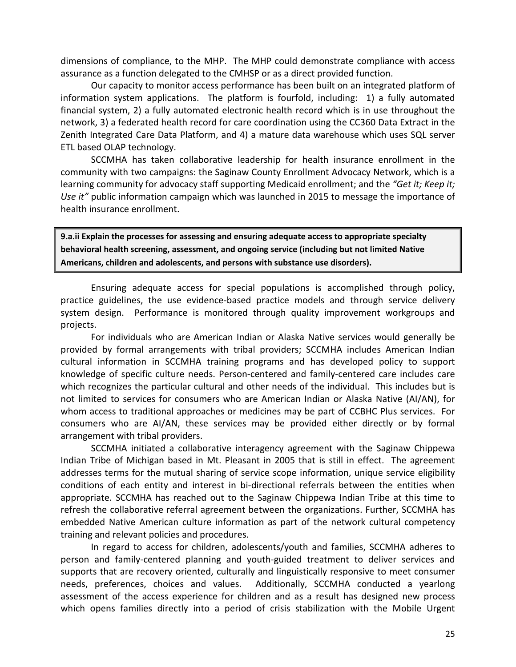dimensions of compliance, to the MHP. The MHP could demonstrate compliance with access assurance as a function delegated to the CMHSP or as a direct provided function.

Our capacity to monitor access performance has been built on an integrated platform of information system applications. The platform is fourfold, including: 1) a fully automated financial system, 2) a fully automated electronic health record which is in use throughout the network, 3) a federated health record for care coordination using the CC360 Data Extract in the Zenith Integrated Care Data Platform, and 4) a mature data warehouse which uses SQL server ETL based OLAP technology.

SCCMHA has taken collaborative leadership for health insurance enrollment in the community with two campaigns: the Saginaw County Enrollment Advocacy Network, which is a learning community for advocacy staff supporting Medicaid enrollment; and the *"Get it; Keep it; Use it"* public information campaign which was launched in 2015 to message the importance of health insurance enrollment.

**9.a.ii Explain the processes for assessing and ensuring adequate access to appropriate specialty behavioral health screening, assessment, and ongoing service (including but not limited Native Americans, children and adolescents, and persons with substance use disorders).** 

Ensuring adequate access for special populations is accomplished through policy, practice guidelines, the use evidence-based practice models and through service delivery system design. Performance is monitored through quality improvement workgroups and projects.

For individuals who are American Indian or Alaska Native services would generally be provided by formal arrangements with tribal providers; SCCMHA includes American Indian cultural information in SCCMHA training programs and has developed policy to support knowledge of specific culture needs. Person-centered and family-centered care includes care which recognizes the particular cultural and other needs of the individual. This includes but is not limited to services for consumers who are American Indian or Alaska Native (AI/AN), for whom access to traditional approaches or medicines may be part of CCBHC Plus services. For consumers who are AI/AN, these services may be provided either directly or by formal arrangement with tribal providers.

SCCMHA initiated a collaborative interagency agreement with the Saginaw Chippewa Indian Tribe of Michigan based in Mt. Pleasant in 2005 that is still in effect. The agreement addresses terms for the mutual sharing of service scope information, unique service eligibility conditions of each entity and interest in bi-directional referrals between the entities when appropriate. SCCMHA has reached out to the Saginaw Chippewa Indian Tribe at this time to refresh the collaborative referral agreement between the organizations. Further, SCCMHA has embedded Native American culture information as part of the network cultural competency training and relevant policies and procedures.

In regard to access for children, adolescents/youth and families, SCCMHA adheres to person and family-centered planning and youth-guided treatment to deliver services and supports that are recovery oriented, culturally and linguistically responsive to meet consumer needs, preferences, choices and values. Additionally, SCCMHA conducted a yearlong assessment of the access experience for children and as a result has designed new process which opens families directly into a period of crisis stabilization with the Mobile Urgent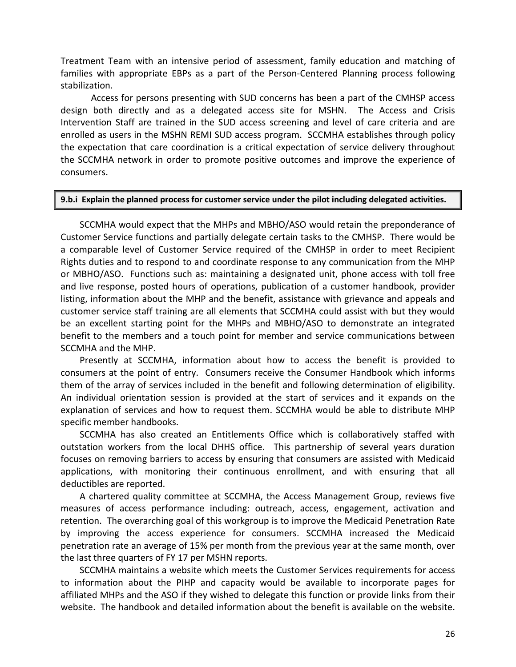Treatment Team with an intensive period of assessment, family education and matching of families with appropriate EBPs as a part of the Person-Centered Planning process following stabilization.

Access for persons presenting with SUD concerns has been a part of the CMHSP access design both directly and as a delegated access site for MSHN. The Access and Crisis Intervention Staff are trained in the SUD access screening and level of care criteria and are enrolled as users in the MSHN REMI SUD access program. SCCMHA establishes through policy the expectation that care coordination is a critical expectation of service delivery throughout the SCCMHA network in order to promote positive outcomes and improve the experience of consumers.

#### **9.b.i Explain the planned process for customer service under the pilot including delegated activities.**

SCCMHA would expect that the MHPs and MBHO/ASO would retain the preponderance of Customer Service functions and partially delegate certain tasks to the CMHSP. There would be a comparable level of Customer Service required of the CMHSP in order to meet Recipient Rights duties and to respond to and coordinate response to any communication from the MHP or MBHO/ASO. Functions such as: maintaining a designated unit, phone access with toll free and live response, posted hours of operations, publication of a customer handbook, provider listing, information about the MHP and the benefit, assistance with grievance and appeals and customer service staff training are all elements that SCCMHA could assist with but they would be an excellent starting point for the MHPs and MBHO/ASO to demonstrate an integrated benefit to the members and a touch point for member and service communications between SCCMHA and the MHP.

Presently at SCCMHA, information about how to access the benefit is provided to consumers at the point of entry. Consumers receive the Consumer Handbook which informs them of the array of services included in the benefit and following determination of eligibility. An individual orientation session is provided at the start of services and it expands on the explanation of services and how to request them. SCCMHA would be able to distribute MHP specific member handbooks.

SCCMHA has also created an Entitlements Office which is collaboratively staffed with outstation workers from the local DHHS office. This partnership of several years duration focuses on removing barriers to access by ensuring that consumers are assisted with Medicaid applications, with monitoring their continuous enrollment, and with ensuring that all deductibles are reported.

A chartered quality committee at SCCMHA, the Access Management Group, reviews five measures of access performance including: outreach, access, engagement, activation and retention. The overarching goal of this workgroup is to improve the Medicaid Penetration Rate by improving the access experience for consumers. SCCMHA increased the Medicaid penetration rate an average of 15% per month from the previous year at the same month, over the last three quarters of FY 17 per MSHN reports.

SCCMHA maintains a website which meets the Customer Services requirements for access to information about the PIHP and capacity would be available to incorporate pages for affiliated MHPs and the ASO if they wished to delegate this function or provide links from their website. The handbook and detailed information about the benefit is available on the website.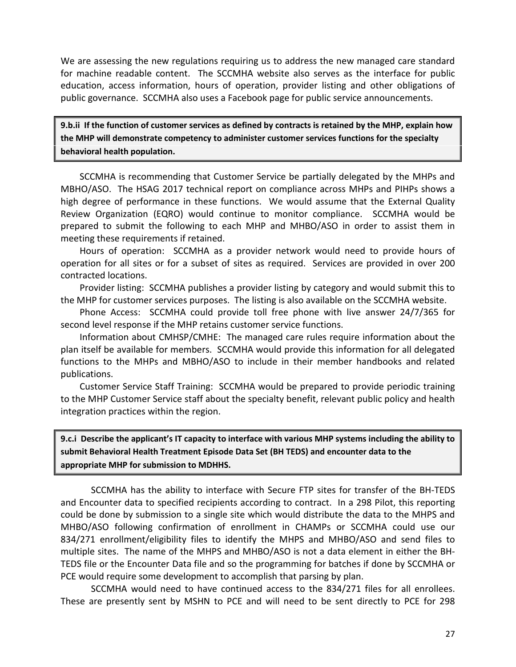We are assessing the new regulations requiring us to address the new managed care standard for machine readable content. The SCCMHA website also serves as the interface for public education, access information, hours of operation, provider listing and other obligations of public governance. SCCMHA also uses a Facebook page for public service announcements.

**9.b.ii If the function of customer services as defined by contracts is retained by the MHP, explain how the MHP will demonstrate competency to administer customer services functions for the specialty behavioral health population.**

SCCMHA is recommending that Customer Service be partially delegated by the MHPs and MBHO/ASO. The HSAG 2017 technical report on compliance across MHPs and PIHPs shows a high degree of performance in these functions. We would assume that the External Quality Review Organization (EQRO) would continue to monitor compliance. SCCMHA would be prepared to submit the following to each MHP and MHBO/ASO in order to assist them in meeting these requirements if retained.

Hours of operation: SCCMHA as a provider network would need to provide hours of operation for all sites or for a subset of sites as required. Services are provided in over 200 contracted locations.

Provider listing: SCCMHA publishes a provider listing by category and would submit this to the MHP for customer services purposes. The listing is also available on the SCCMHA website.

Phone Access: SCCMHA could provide toll free phone with live answer 24/7/365 for second level response if the MHP retains customer service functions.

Information about CMHSP/CMHE: The managed care rules require information about the plan itself be available for members. SCCMHA would provide this information for all delegated functions to the MHPs and MBHO/ASO to include in their member handbooks and related publications.

Customer Service Staff Training: SCCMHA would be prepared to provide periodic training to the MHP Customer Service staff about the specialty benefit, relevant public policy and health integration practices within the region.

**9.c.i Describe the applicant's IT capacity to interface with various MHP systems including the ability to submit Behavioral Health Treatment Episode Data Set (BH TEDS) and encounter data to the appropriate MHP for submission to MDHHS.** 

SCCMHA has the ability to interface with Secure FTP sites for transfer of the BH-TEDS and Encounter data to specified recipients according to contract. In a 298 Pilot, this reporting could be done by submission to a single site which would distribute the data to the MHPS and MHBO/ASO following confirmation of enrollment in CHAMPs or SCCMHA could use our 834/271 enrollment/eligibility files to identify the MHPS and MHBO/ASO and send files to multiple sites. The name of the MHPS and MHBO/ASO is not a data element in either the BH-TEDS file or the Encounter Data file and so the programming for batches if done by SCCMHA or PCE would require some development to accomplish that parsing by plan.

SCCMHA would need to have continued access to the 834/271 files for all enrollees. These are presently sent by MSHN to PCE and will need to be sent directly to PCE for 298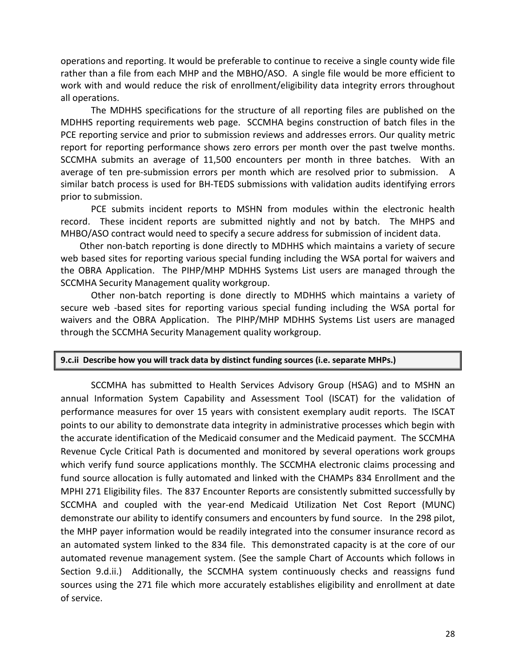operations and reporting. It would be preferable to continue to receive a single county wide file rather than a file from each MHP and the MBHO/ASO. A single file would be more efficient to work with and would reduce the risk of enrollment/eligibility data integrity errors throughout all operations.

The MDHHS specifications for the structure of all reporting files are published on the MDHHS reporting requirements web page. SCCMHA begins construction of batch files in the PCE reporting service and prior to submission reviews and addresses errors. Our quality metric report for reporting performance shows zero errors per month over the past twelve months. SCCMHA submits an average of 11,500 encounters per month in three batches. With an average of ten pre-submission errors per month which are resolved prior to submission. A similar batch process is used for BH-TEDS submissions with validation audits identifying errors prior to submission.

PCE submits incident reports to MSHN from modules within the electronic health record. These incident reports are submitted nightly and not by batch. The MHPS and MHBO/ASO contract would need to specify a secure address for submission of incident data.

Other non-batch reporting is done directly to MDHHS which maintains a variety of secure web based sites for reporting various special funding including the WSA portal for waivers and the OBRA Application. The PIHP/MHP MDHHS Systems List users are managed through the SCCMHA Security Management quality workgroup.

Other non-batch reporting is done directly to MDHHS which maintains a variety of secure web -based sites for reporting various special funding including the WSA portal for waivers and the OBRA Application. The PIHP/MHP MDHHS Systems List users are managed through the SCCMHA Security Management quality workgroup.

#### **9.c.ii Describe how you will track data by distinct funding sources (i.e. separate MHPs.)**

SCCMHA has submitted to Health Services Advisory Group (HSAG) and to MSHN an annual Information System Capability and Assessment Tool (ISCAT) for the validation of performance measures for over 15 years with consistent exemplary audit reports. The ISCAT points to our ability to demonstrate data integrity in administrative processes which begin with the accurate identification of the Medicaid consumer and the Medicaid payment. The SCCMHA Revenue Cycle Critical Path is documented and monitored by several operations work groups which verify fund source applications monthly. The SCCMHA electronic claims processing and fund source allocation is fully automated and linked with the CHAMPs 834 Enrollment and the MPHI 271 Eligibility files. The 837 Encounter Reports are consistently submitted successfully by SCCMHA and coupled with the year-end Medicaid Utilization Net Cost Report (MUNC) demonstrate our ability to identify consumers and encounters by fund source. In the 298 pilot, the MHP payer information would be readily integrated into the consumer insurance record as an automated system linked to the 834 file. This demonstrated capacity is at the core of our automated revenue management system. (See the sample Chart of Accounts which follows in Section 9.d.ii.) Additionally, the SCCMHA system continuously checks and reassigns fund sources using the 271 file which more accurately establishes eligibility and enrollment at date of service.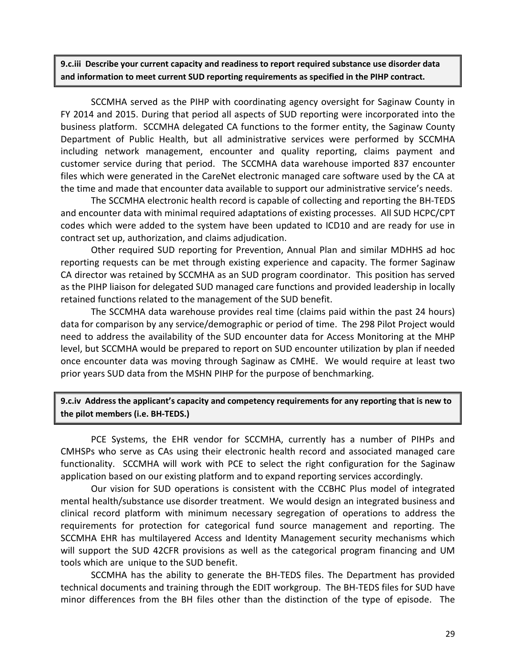**9.c.iii Describe your current capacity and readiness to report required substance use disorder data and information to meet current SUD reporting requirements as specified in the PIHP contract.**

SCCMHA served as the PIHP with coordinating agency oversight for Saginaw County in FY 2014 and 2015. During that period all aspects of SUD reporting were incorporated into the business platform. SCCMHA delegated CA functions to the former entity, the Saginaw County Department of Public Health, but all administrative services were performed by SCCMHA including network management, encounter and quality reporting, claims payment and customer service during that period. The SCCMHA data warehouse imported 837 encounter files which were generated in the CareNet electronic managed care software used by the CA at the time and made that encounter data available to support our administrative service's needs.

The SCCMHA electronic health record is capable of collecting and reporting the BH-TEDS and encounter data with minimal required adaptations of existing processes. All SUD HCPC/CPT codes which were added to the system have been updated to ICD10 and are ready for use in contract set up, authorization, and claims adjudication.

Other required SUD reporting for Prevention, Annual Plan and similar MDHHS ad hoc reporting requests can be met through existing experience and capacity. The former Saginaw CA director was retained by SCCMHA as an SUD program coordinator. This position has served as the PIHP liaison for delegated SUD managed care functions and provided leadership in locally retained functions related to the management of the SUD benefit.

The SCCMHA data warehouse provides real time (claims paid within the past 24 hours) data for comparison by any service/demographic or period of time. The 298 Pilot Project would need to address the availability of the SUD encounter data for Access Monitoring at the MHP level, but SCCMHA would be prepared to report on SUD encounter utilization by plan if needed once encounter data was moving through Saginaw as CMHE. We would require at least two prior years SUD data from the MSHN PIHP for the purpose of benchmarking.

**9.c.iv Address the applicant's capacity and competency requirements for any reporting that is new to the pilot members (i.e. BH-TEDS.)**

PCE Systems, the EHR vendor for SCCMHA, currently has a number of PIHPs and CMHSPs who serve as CAs using their electronic health record and associated managed care functionality. SCCMHA will work with PCE to select the right configuration for the Saginaw application based on our existing platform and to expand reporting services accordingly.

Our vision for SUD operations is consistent with the CCBHC Plus model of integrated mental health/substance use disorder treatment. We would design an integrated business and clinical record platform with minimum necessary segregation of operations to address the requirements for protection for categorical fund source management and reporting. The SCCMHA EHR has multilayered Access and Identity Management security mechanisms which will support the SUD 42CFR provisions as well as the categorical program financing and UM tools which are unique to the SUD benefit.

SCCMHA has the ability to generate the BH-TEDS files. The Department has provided technical documents and training through the EDIT workgroup. The BH-TEDS files for SUD have minor differences from the BH files other than the distinction of the type of episode. The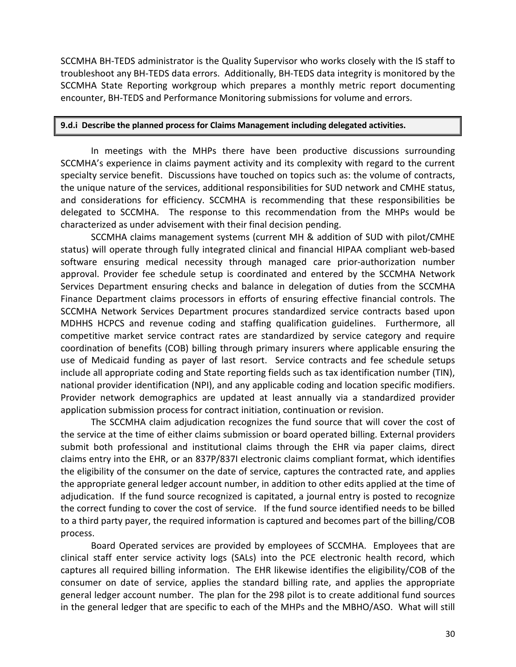SCCMHA BH-TEDS administrator is the Quality Supervisor who works closely with the IS staff to troubleshoot any BH-TEDS data errors. Additionally, BH-TEDS data integrity is monitored by the SCCMHA State Reporting workgroup which prepares a monthly metric report documenting encounter, BH-TEDS and Performance Monitoring submissions for volume and errors.

### **9.d.i Describe the planned process for Claims Management including delegated activities.**

In meetings with the MHPs there have been productive discussions surrounding SCCMHA's experience in claims payment activity and its complexity with regard to the current specialty service benefit. Discussions have touched on topics such as: the volume of contracts, the unique nature of the services, additional responsibilities for SUD network and CMHE status, and considerations for efficiency. SCCMHA is recommending that these responsibilities be delegated to SCCMHA. The response to this recommendation from the MHPs would be characterized as under advisement with their final decision pending.

SCCMHA claims management systems (current MH & addition of SUD with pilot/CMHE status) will operate through fully integrated clinical and financial HIPAA compliant web-based software ensuring medical necessity through managed care prior-authorization number approval. Provider fee schedule setup is coordinated and entered by the SCCMHA Network Services Department ensuring checks and balance in delegation of duties from the SCCMHA Finance Department claims processors in efforts of ensuring effective financial controls. The SCCMHA Network Services Department procures standardized service contracts based upon MDHHS HCPCS and revenue coding and staffing qualification guidelines. Furthermore, all competitive market service contract rates are standardized by service category and require coordination of benefits (COB) billing through primary insurers where applicable ensuring the use of Medicaid funding as payer of last resort. Service contracts and fee schedule setups include all appropriate coding and State reporting fields such as tax identification number (TIN), national provider identification (NPI), and any applicable coding and location specific modifiers. Provider network demographics are updated at least annually via a standardized provider application submission process for contract initiation, continuation or revision.

The SCCMHA claim adjudication recognizes the fund source that will cover the cost of the service at the time of either claims submission or board operated billing. External providers submit both professional and institutional claims through the EHR via paper claims, direct claims entry into the EHR, or an 837P/837I electronic claims compliant format, which identifies the eligibility of the consumer on the date of service, captures the contracted rate, and applies the appropriate general ledger account number, in addition to other edits applied at the time of adjudication. If the fund source recognized is capitated, a journal entry is posted to recognize the correct funding to cover the cost of service. If the fund source identified needs to be billed to a third party payer, the required information is captured and becomes part of the billing/COB process.

Board Operated services are provided by employees of SCCMHA. Employees that are clinical staff enter service activity logs (SALs) into the PCE electronic health record, which captures all required billing information. The EHR likewise identifies the eligibility/COB of the consumer on date of service, applies the standard billing rate, and applies the appropriate general ledger account number. The plan for the 298 pilot is to create additional fund sources in the general ledger that are specific to each of the MHPs and the MBHO/ASO. What will still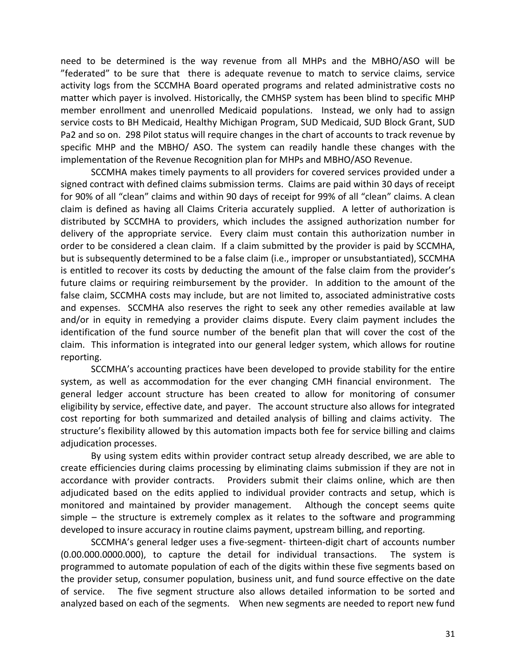need to be determined is the way revenue from all MHPs and the MBHO/ASO will be "federated" to be sure that there is adequate revenue to match to service claims, service activity logs from the SCCMHA Board operated programs and related administrative costs no matter which payer is involved. Historically, the CMHSP system has been blind to specific MHP member enrollment and unenrolled Medicaid populations. Instead, we only had to assign service costs to BH Medicaid, Healthy Michigan Program, SUD Medicaid, SUD Block Grant, SUD Pa2 and so on. 298 Pilot status will require changes in the chart of accounts to track revenue by specific MHP and the MBHO/ ASO. The system can readily handle these changes with the implementation of the Revenue Recognition plan for MHPs and MBHO/ASO Revenue.

SCCMHA makes timely payments to all providers for covered services provided under a signed contract with defined claims submission terms. Claims are paid within 30 days of receipt for 90% of all "clean" claims and within 90 days of receipt for 99% of all "clean" claims. A clean claim is defined as having all Claims Criteria accurately supplied. A letter of authorization is distributed by SCCMHA to providers, which includes the assigned authorization number for delivery of the appropriate service. Every claim must contain this authorization number in order to be considered a clean claim. If a claim submitted by the provider is paid by SCCMHA, but is subsequently determined to be a false claim (i.e., improper or unsubstantiated), SCCMHA is entitled to recover its costs by deducting the amount of the false claim from the provider's future claims or requiring reimbursement by the provider. In addition to the amount of the false claim, SCCMHA costs may include, but are not limited to, associated administrative costs and expenses. SCCMHA also reserves the right to seek any other remedies available at law and/or in equity in remedying a provider claims dispute. Every claim payment includes the identification of the fund source number of the benefit plan that will cover the cost of the claim. This information is integrated into our general ledger system, which allows for routine reporting.

SCCMHA's accounting practices have been developed to provide stability for the entire system, as well as accommodation for the ever changing CMH financial environment. The general ledger account structure has been created to allow for monitoring of consumer eligibility by service, effective date, and payer. The account structure also allows for integrated cost reporting for both summarized and detailed analysis of billing and claims activity. The structure's flexibility allowed by this automation impacts both fee for service billing and claims adjudication processes.

By using system edits within provider contract setup already described, we are able to create efficiencies during claims processing by eliminating claims submission if they are not in accordance with provider contracts. Providers submit their claims online, which are then adjudicated based on the edits applied to individual provider contracts and setup, which is monitored and maintained by provider management. Although the concept seems quite simple – the structure is extremely complex as it relates to the software and programming developed to insure accuracy in routine claims payment, upstream billing, and reporting.

SCCMHA's general ledger uses a five-segment- thirteen-digit chart of accounts number (0.00.000.0000.000), to capture the detail for individual transactions. The system is programmed to automate population of each of the digits within these five segments based on the provider setup, consumer population, business unit, and fund source effective on the date of service. The five segment structure also allows detailed information to be sorted and analyzed based on each of the segments. When new segments are needed to report new fund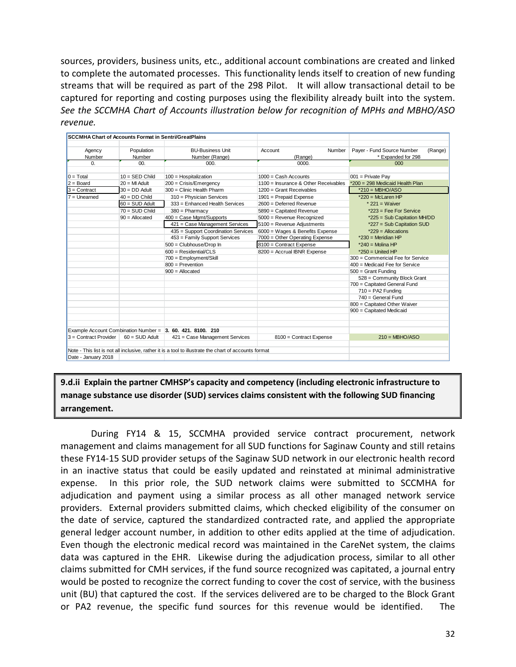sources, providers, business units, etc., additional account combinations are created and linked to complete the automated processes. This functionality lends itself to creation of new funding streams that will be required as part of the 298 Pilot. It will allow transactional detail to be captured for reporting and costing purposes using the flexibility already built into the system. *See the SCCMHA Chart of Accounts illustration below for recognition of MPHs and MBHO/ASO revenue.*

| <b>SCCMHA Chart of Accounts Format in Sentri/GreatPlains</b> |                                              |                                                                                                       |                                                                                    |                                       |  |  |
|--------------------------------------------------------------|----------------------------------------------|-------------------------------------------------------------------------------------------------------|------------------------------------------------------------------------------------|---------------------------------------|--|--|
|                                                              |                                              |                                                                                                       |                                                                                    |                                       |  |  |
| Agency                                                       | Population                                   | <b>BU-Business Unit</b>                                                                               | Account<br>Number                                                                  | Payer - Fund Source Number<br>(Range) |  |  |
| Number                                                       | Number                                       | Number (Range)                                                                                        | (Range)                                                                            | * Expanded for 298                    |  |  |
| $\Omega$ .                                                   | 00 <sub>1</sub>                              | 000.                                                                                                  | 0000.                                                                              | 000                                   |  |  |
|                                                              |                                              |                                                                                                       |                                                                                    |                                       |  |  |
| $0 = \text{Total}$                                           | $10 =$ SED Child                             | $100$ = Hospitalization                                                                               | $1000 = Cash$ Accounts                                                             | $001$ = Private Pay                   |  |  |
| $2 = Board$                                                  | $20 = Ml$ Adult                              | 200 = Crisis/Emergency                                                                                | 1100 = Insurance & Other Receivables                                               | *200 = 298 Medicaid Health Plan       |  |  |
| $3 =$ Contract                                               | $30 = DD$ Adult                              | 300 = Clinic Health Pharm                                                                             | $1200$ = Grant Receivables                                                         | $*210 = MBHO/ASO$                     |  |  |
| $7 =$ Unearned                                               | $40 = DD$ Child                              | 310 = Physician Services                                                                              | 1901 = Prepaid Expense                                                             | $*220$ = McLaren HP                   |  |  |
|                                                              | $60 = \text{SUD}$ Adult                      | 333 = Enhanced Health Services                                                                        | 2600 = Deferred Revenue                                                            | $*$ 221 = Waiver                      |  |  |
|                                                              | $70 = \text{SUD}$ Child                      | $380 =$ Pharmacy                                                                                      | 5890 = Capitated Revenue                                                           | *223 = Fee For Service                |  |  |
|                                                              | 400 = Case Mgmt/Supports<br>$90 =$ Allocated |                                                                                                       | 5000 = Revenue Recognized                                                          | *225 = Sub Capitation MH/DD           |  |  |
|                                                              |                                              | 421 = Case Management Services                                                                        | 5100 = Revenue Adjustments                                                         | *227 = Sub Capitation SUD             |  |  |
|                                                              |                                              | 435 = Support Coordination Services                                                                   | 6000 = Wages & Benefits Expense                                                    | $*229$ = Allocations                  |  |  |
|                                                              |                                              | 453 = Family Support Services                                                                         | 7000 = Other Operating Expense                                                     | $*230$ = Meridian HP                  |  |  |
|                                                              |                                              | 500 = Clubhouse/Drop In                                                                               | 8100 = Contract Expense                                                            | $*240$ = Molina HP                    |  |  |
|                                                              |                                              | $600$ = Residential/CLS                                                                               | 8200 = Accrual IBNR Expense                                                        | $*250$ = United HP                    |  |  |
|                                                              |                                              | 700 = Employment/Skill                                                                                |                                                                                    | 300 = Commericial Fee for Service     |  |  |
|                                                              |                                              | 800 = Prevention                                                                                      |                                                                                    | 400 = Medicaid Fee for Service        |  |  |
|                                                              |                                              | $900 =$ Allocated                                                                                     |                                                                                    | $500 =$ Grant Funding                 |  |  |
|                                                              |                                              |                                                                                                       | 528 = Community Block Grant<br>700 = Capitated General Fund<br>$710 = PA2$ Funding |                                       |  |  |
|                                                              |                                              |                                                                                                       |                                                                                    |                                       |  |  |
|                                                              |                                              |                                                                                                       |                                                                                    |                                       |  |  |
|                                                              |                                              |                                                                                                       |                                                                                    | $740 = General Fund$                  |  |  |
|                                                              |                                              |                                                                                                       | 800 = Capitated Other Waiver                                                       |                                       |  |  |
|                                                              |                                              |                                                                                                       |                                                                                    | 900 = Capitated Medicaid              |  |  |
|                                                              |                                              |                                                                                                       |                                                                                    |                                       |  |  |
|                                                              |                                              |                                                                                                       |                                                                                    |                                       |  |  |
|                                                              |                                              | Example Account Combination Number = 3. 60. 421. 8100. 210                                            |                                                                                    |                                       |  |  |
| 3 = Contract Provider                                        | $60 = \text{SUB}$ Adult                      | 421 = Case Management Services                                                                        | 8100 = Contract Expense                                                            | $210 = MBHO/ASO$                      |  |  |
|                                                              |                                              |                                                                                                       |                                                                                    |                                       |  |  |
| Date - January 2018                                          |                                              | Note - This list is not all inclusive, rather it is a tool to illustrate the chart of accounts format |                                                                                    |                                       |  |  |
|                                                              |                                              |                                                                                                       |                                                                                    |                                       |  |  |

**9.d.ii Explain the partner CMHSP's capacity and competency (including electronic infrastructure to manage substance use disorder (SUD) services claims consistent with the following SUD financing arrangement.**

During FY14 & 15, SCCMHA provided service contract procurement, network management and claims management for all SUD functions for Saginaw County and still retains these FY14-15 SUD provider setups of the Saginaw SUD network in our electronic health record in an inactive status that could be easily updated and reinstated at minimal administrative expense. In this prior role, the SUD network claims were submitted to SCCMHA for adjudication and payment using a similar process as all other managed network service providers. External providers submitted claims, which checked eligibility of the consumer on the date of service, captured the standardized contracted rate, and applied the appropriate general ledger account number, in addition to other edits applied at the time of adjudication. Even though the electronic medical record was maintained in the CareNet system, the claims data was captured in the EHR. Likewise during the adjudication process, similar to all other claims submitted for CMH services, if the fund source recognized was capitated, a journal entry would be posted to recognize the correct funding to cover the cost of service, with the business unit (BU) that captured the cost. If the services delivered are to be charged to the Block Grant or PA2 revenue, the specific fund sources for this revenue would be identified. The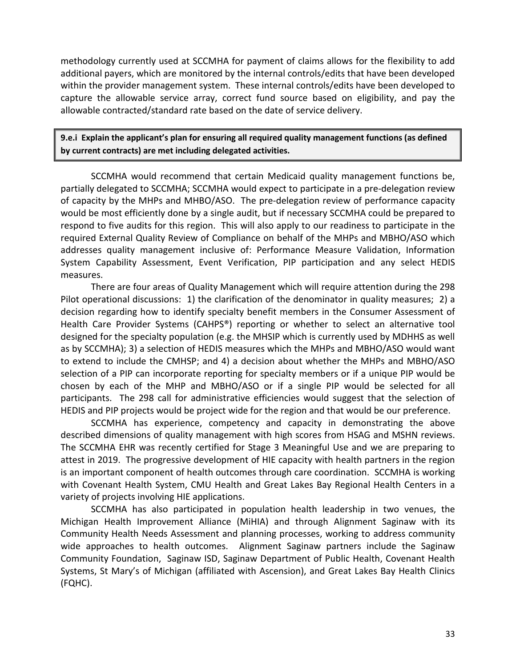methodology currently used at SCCMHA for payment of claims allows for the flexibility to add additional payers, which are monitored by the internal controls/edits that have been developed within the provider management system. These internal controls/edits have been developed to capture the allowable service array, correct fund source based on eligibility, and pay the allowable contracted/standard rate based on the date of service delivery.

**9.e.i Explain the applicant's plan for ensuring all required quality management functions (as defined by current contracts) are met including delegated activities.**

SCCMHA would recommend that certain Medicaid quality management functions be, partially delegated to SCCMHA; SCCMHA would expect to participate in a pre-delegation review of capacity by the MHPs and MHBO/ASO. The pre-delegation review of performance capacity would be most efficiently done by a single audit, but if necessary SCCMHA could be prepared to respond to five audits for this region. This will also apply to our readiness to participate in the required External Quality Review of Compliance on behalf of the MHPs and MBHO/ASO which addresses quality management inclusive of: Performance Measure Validation, Information System Capability Assessment, Event Verification, PIP participation and any select HEDIS measures.

There are four areas of Quality Management which will require attention during the 298 Pilot operational discussions: 1) the clarification of the denominator in quality measures; 2) a decision regarding how to identify specialty benefit members in the Consumer Assessment of Health Care Provider Systems (CAHPS®) reporting or whether to select an alternative tool designed for the specialty population (e.g. the MHSIP which is currently used by MDHHS as well as by SCCMHA); 3) a selection of HEDIS measures which the MHPs and MBHO/ASO would want to extend to include the CMHSP; and 4) a decision about whether the MHPs and MBHO/ASO selection of a PIP can incorporate reporting for specialty members or if a unique PIP would be chosen by each of the MHP and MBHO/ASO or if a single PIP would be selected for all participants. The 298 call for administrative efficiencies would suggest that the selection of HEDIS and PIP projects would be project wide for the region and that would be our preference.

SCCMHA has experience, competency and capacity in demonstrating the above described dimensions of quality management with high scores from HSAG and MSHN reviews. The SCCMHA EHR was recently certified for Stage 3 Meaningful Use and we are preparing to attest in 2019. The progressive development of HIE capacity with health partners in the region is an important component of health outcomes through care coordination. SCCMHA is working with Covenant Health System, CMU Health and Great Lakes Bay Regional Health Centers in a variety of projects involving HIE applications.

SCCMHA has also participated in population health leadership in two venues, the Michigan Health Improvement Alliance (MiHIA) and through Alignment Saginaw with its Community Health Needs Assessment and planning processes, working to address community wide approaches to health outcomes. Alignment Saginaw partners include the Saginaw Community Foundation, Saginaw ISD, Saginaw Department of Public Health, Covenant Health Systems, St Mary's of Michigan (affiliated with Ascension), and Great Lakes Bay Health Clinics (FQHC).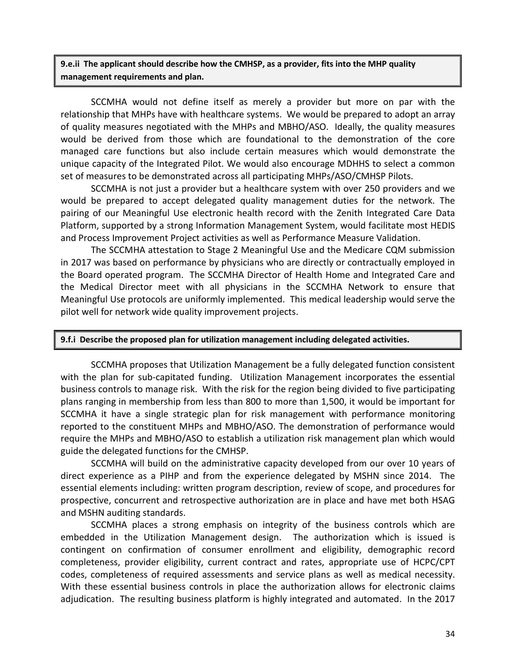**9.e.ii The applicant should describe how the CMHSP, as a provider, fits into the MHP quality management requirements and plan.** 

SCCMHA would not define itself as merely a provider but more on par with the relationship that MHPs have with healthcare systems. We would be prepared to adopt an array of quality measures negotiated with the MHPs and MBHO/ASO. Ideally, the quality measures would be derived from those which are foundational to the demonstration of the core managed care functions but also include certain measures which would demonstrate the unique capacity of the Integrated Pilot. We would also encourage MDHHS to select a common set of measures to be demonstrated across all participating MHPs/ASO/CMHSP Pilots.

SCCMHA is not just a provider but a healthcare system with over 250 providers and we would be prepared to accept delegated quality management duties for the network. The pairing of our Meaningful Use electronic health record with the Zenith Integrated Care Data Platform, supported by a strong Information Management System, would facilitate most HEDIS and Process Improvement Project activities as well as Performance Measure Validation.

The SCCMHA attestation to Stage 2 Meaningful Use and the Medicare CQM submission in 2017 was based on performance by physicians who are directly or contractually employed in the Board operated program. The SCCMHA Director of Health Home and Integrated Care and the Medical Director meet with all physicians in the SCCMHA Network to ensure that Meaningful Use protocols are uniformly implemented. This medical leadership would serve the pilot well for network wide quality improvement projects.

#### **9.f.i Describe the proposed plan for utilization management including delegated activities.**

SCCMHA proposes that Utilization Management be a fully delegated function consistent with the plan for sub-capitated funding. Utilization Management incorporates the essential business controls to manage risk. With the risk for the region being divided to five participating plans ranging in membership from less than 800 to more than 1,500, it would be important for SCCMHA it have a single strategic plan for risk management with performance monitoring reported to the constituent MHPs and MBHO/ASO. The demonstration of performance would require the MHPs and MBHO/ASO to establish a utilization risk management plan which would guide the delegated functions for the CMHSP.

SCCMHA will build on the administrative capacity developed from our over 10 years of direct experience as a PIHP and from the experience delegated by MSHN since 2014. The essential elements including: written program description, review of scope, and procedures for prospective, concurrent and retrospective authorization are in place and have met both HSAG and MSHN auditing standards.

SCCMHA places a strong emphasis on integrity of the business controls which are embedded in the Utilization Management design. The authorization which is issued is contingent on confirmation of consumer enrollment and eligibility, demographic record completeness, provider eligibility, current contract and rates, appropriate use of HCPC/CPT codes, completeness of required assessments and service plans as well as medical necessity. With these essential business controls in place the authorization allows for electronic claims adjudication. The resulting business platform is highly integrated and automated. In the 2017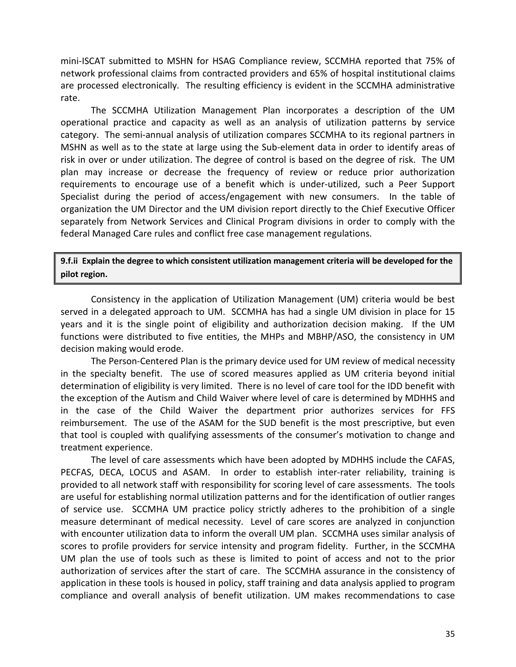mini-ISCAT submitted to MSHN for HSAG Compliance review, SCCMHA reported that 75% of network professional claims from contracted providers and 65% of hospital institutional claims are processed electronically. The resulting efficiency is evident in the SCCMHA administrative rate.

The SCCMHA Utilization Management Plan incorporates a description of the UM operational practice and capacity as well as an analysis of utilization patterns by service category. The semi-annual analysis of utilization compares SCCMHA to its regional partners in MSHN as well as to the state at large using the Sub-element data in order to identify areas of risk in over or under utilization. The degree of control is based on the degree of risk. The UM plan may increase or decrease the frequency of review or reduce prior authorization requirements to encourage use of a benefit which is under-utilized, such a Peer Support Specialist during the period of access/engagement with new consumers. In the table of organization the UM Director and the UM division report directly to the Chief Executive Officer separately from Network Services and Clinical Program divisions in order to comply with the federal Managed Care rules and conflict free case management regulations.

### **9.f.ii Explain the degree to which consistent utilization management criteria will be developed for the pilot region.**

Consistency in the application of Utilization Management (UM) criteria would be best served in a delegated approach to UM. SCCMHA has had a single UM division in place for 15 years and it is the single point of eligibility and authorization decision making. If the UM functions were distributed to five entities, the MHPs and MBHP/ASO, the consistency in UM decision making would erode.

The Person-Centered Plan is the primary device used for UM review of medical necessity in the specialty benefit. The use of scored measures applied as UM criteria beyond initial determination of eligibility is very limited. There is no level of care tool for the IDD benefit with the exception of the Autism and Child Waiver where level of care is determined by MDHHS and in the case of the Child Waiver the department prior authorizes services for FFS reimbursement. The use of the ASAM for the SUD benefit is the most prescriptive, but even that tool is coupled with qualifying assessments of the consumer's motivation to change and treatment experience.

The level of care assessments which have been adopted by MDHHS include the CAFAS, PECFAS, DECA, LOCUS and ASAM. In order to establish inter-rater reliability, training is provided to all network staff with responsibility for scoring level of care assessments. The tools are useful for establishing normal utilization patterns and for the identification of outlier ranges of service use. SCCMHA UM practice policy strictly adheres to the prohibition of a single measure determinant of medical necessity. Level of care scores are analyzed in conjunction with encounter utilization data to inform the overall UM plan. SCCMHA uses similar analysis of scores to profile providers for service intensity and program fidelity. Further, in the SCCMHA UM plan the use of tools such as these is limited to point of access and not to the prior authorization of services after the start of care. The SCCMHA assurance in the consistency of application in these tools is housed in policy, staff training and data analysis applied to program compliance and overall analysis of benefit utilization. UM makes recommendations to case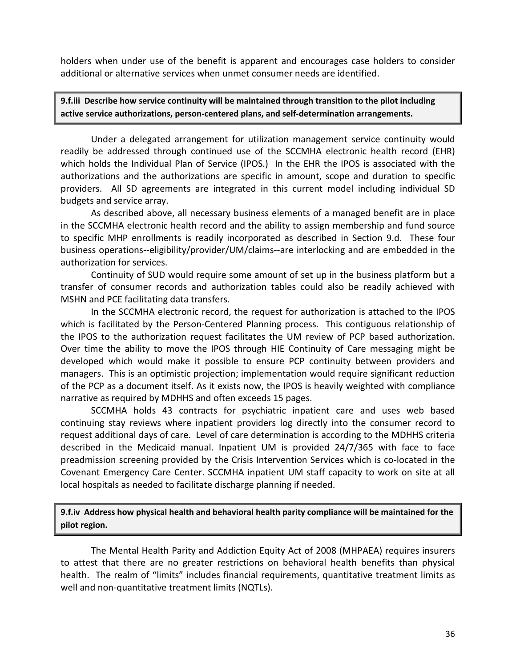holders when under use of the benefit is apparent and encourages case holders to consider additional or alternative services when unmet consumer needs are identified.

**9.f.iii Describe how service continuity will be maintained through transition to the pilot including active service authorizations, person-centered plans, and self-determination arrangements.** 

Under a delegated arrangement for utilization management service continuity would readily be addressed through continued use of the SCCMHA electronic health record (EHR) which holds the Individual Plan of Service (IPOS.) In the EHR the IPOS is associated with the authorizations and the authorizations are specific in amount, scope and duration to specific providers. All SD agreements are integrated in this current model including individual SD budgets and service array.

As described above, all necessary business elements of a managed benefit are in place in the SCCMHA electronic health record and the ability to assign membership and fund source to specific MHP enrollments is readily incorporated as described in Section 9.d. These four business operations--eligibility/provider/UM/claims--are interlocking and are embedded in the authorization for services.

Continuity of SUD would require some amount of set up in the business platform but a transfer of consumer records and authorization tables could also be readily achieved with MSHN and PCE facilitating data transfers.

In the SCCMHA electronic record, the request for authorization is attached to the IPOS which is facilitated by the Person-Centered Planning process. This contiguous relationship of the IPOS to the authorization request facilitates the UM review of PCP based authorization. Over time the ability to move the IPOS through HIE Continuity of Care messaging might be developed which would make it possible to ensure PCP continuity between providers and managers. This is an optimistic projection; implementation would require significant reduction of the PCP as a document itself. As it exists now, the IPOS is heavily weighted with compliance narrative as required by MDHHS and often exceeds 15 pages.

SCCMHA holds 43 contracts for psychiatric inpatient care and uses web based continuing stay reviews where inpatient providers log directly into the consumer record to request additional days of care. Level of care determination is according to the MDHHS criteria described in the Medicaid manual. Inpatient UM is provided 24/7/365 with face to face preadmission screening provided by the Crisis Intervention Services which is co-located in the Covenant Emergency Care Center. SCCMHA inpatient UM staff capacity to work on site at all local hospitals as needed to facilitate discharge planning if needed.

**9.f.iv Address how physical health and behavioral health parity compliance will be maintained for the pilot region.**

The Mental Health Parity and Addiction Equity Act of 2008 (MHPAEA) requires insurers to attest that there are no greater restrictions on behavioral health benefits than physical health. The realm of "limits" includes financial requirements, quantitative treatment limits as well and non-quantitative treatment limits (NQTLs).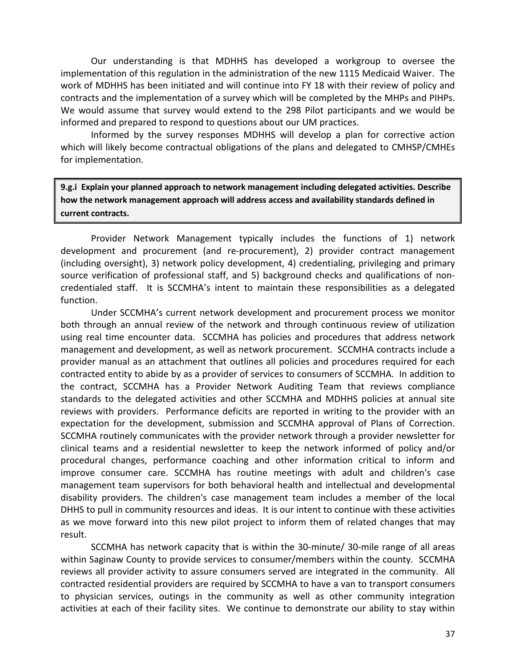Our understanding is that MDHHS has developed a workgroup to oversee the implementation of this regulation in the administration of the new 1115 Medicaid Waiver. The work of MDHHS has been initiated and will continue into FY 18 with their review of policy and contracts and the implementation of a survey which will be completed by the MHPs and PIHPs. We would assume that survey would extend to the 298 Pilot participants and we would be informed and prepared to respond to questions about our UM practices.

Informed by the survey responses MDHHS will develop a plan for corrective action which will likely become contractual obligations of the plans and delegated to CMHSP/CMHEs for implementation.

**9.g.i Explain your planned approach to network management including delegated activities. Describe how the network management approach will address access and availability standards defined in current contracts.**

Provider Network Management typically includes the functions of 1) network development and procurement (and re-procurement), 2) provider contract management (including oversight), 3) network policy development, 4) credentialing, privileging and primary source verification of professional staff, and 5) background checks and qualifications of noncredentialed staff. It is SCCMHA's intent to maintain these responsibilities as a delegated function.

Under SCCMHA's current network development and procurement process we monitor both through an annual review of the network and through continuous review of utilization using real time encounter data. SCCMHA has policies and procedures that address network management and development, as well as network procurement. SCCMHA contracts include a provider manual as an attachment that outlines all policies and procedures required for each contracted entity to abide by as a provider of services to consumers of SCCMHA. In addition to the contract, SCCMHA has a Provider Network Auditing Team that reviews compliance standards to the delegated activities and other SCCMHA and MDHHS policies at annual site reviews with providers. Performance deficits are reported in writing to the provider with an expectation for the development, submission and SCCMHA approval of Plans of Correction. SCCMHA routinely communicates with the provider network through a provider newsletter for clinical teams and a residential newsletter to keep the network informed of policy and/or procedural changes, performance coaching and other information critical to inform and improve consumer care. SCCMHA has routine meetings with adult and children's case management team supervisors for both behavioral health and intellectual and developmental disability providers. The children's case management team includes a member of the local DHHS to pull in community resources and ideas. It is our intent to continue with these activities as we move forward into this new pilot project to inform them of related changes that may result.

SCCMHA has network capacity that is within the 30-minute/ 30-mile range of all areas within Saginaw County to provide services to consumer/members within the county. SCCMHA reviews all provider activity to assure consumers served are integrated in the community. All contracted residential providers are required by SCCMHA to have a van to transport consumers to physician services, outings in the community as well as other community integration activities at each of their facility sites. We continue to demonstrate our ability to stay within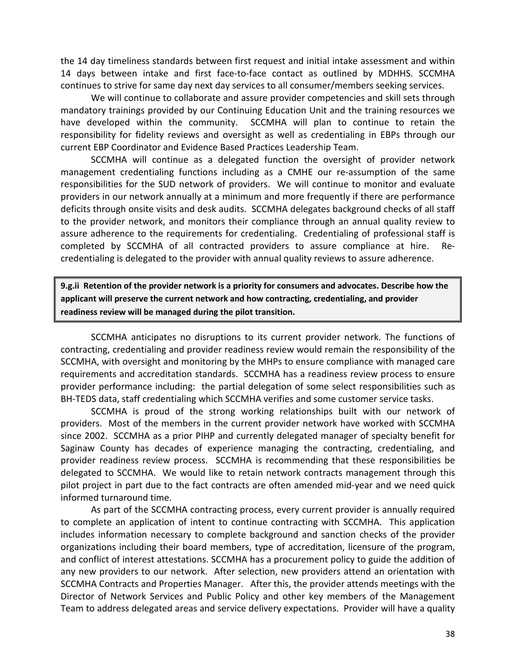the 14 day timeliness standards between first request and initial intake assessment and within 14 days between intake and first face-to-face contact as outlined by MDHHS. SCCMHA continues to strive for same day next day services to all consumer/members seeking services.

We will continue to collaborate and assure provider competencies and skill sets through mandatory trainings provided by our Continuing Education Unit and the training resources we have developed within the community. SCCMHA will plan to continue to retain the responsibility for fidelity reviews and oversight as well as credentialing in EBPs through our current EBP Coordinator and Evidence Based Practices Leadership Team.

SCCMHA will continue as a delegated function the oversight of provider network management credentialing functions including as a CMHE our re-assumption of the same responsibilities for the SUD network of providers. We will continue to monitor and evaluate providers in our network annually at a minimum and more frequently if there are performance deficits through onsite visits and desk audits. SCCMHA delegates background checks of all staff to the provider network, and monitors their compliance through an annual quality review to assure adherence to the requirements for credentialing. Credentialing of professional staff is completed by SCCMHA of all contracted providers to assure compliance at hire. Recredentialing is delegated to the provider with annual quality reviews to assure adherence.

**9.g.ii Retention of the provider network is a priority for consumers and advocates. Describe how the applicant will preserve the current network and how contracting, credentialing, and provider readiness review will be managed during the pilot transition.** 

SCCMHA anticipates no disruptions to its current provider network. The functions of contracting, credentialing and provider readiness review would remain the responsibility of the SCCMHA, with oversight and monitoring by the MHPs to ensure compliance with managed care requirements and accreditation standards. SCCMHA has a readiness review process to ensure provider performance including: the partial delegation of some select responsibilities such as BH-TEDS data, staff credentialing which SCCMHA verifies and some customer service tasks.

SCCMHA is proud of the strong working relationships built with our network of providers. Most of the members in the current provider network have worked with SCCMHA since 2002. SCCMHA as a prior PIHP and currently delegated manager of specialty benefit for Saginaw County has decades of experience managing the contracting, credentialing, and provider readiness review process. SCCMHA is recommending that these responsibilities be delegated to SCCMHA. We would like to retain network contracts management through this pilot project in part due to the fact contracts are often amended mid-year and we need quick informed turnaround time.

As part of the SCCMHA contracting process, every current provider is annually required to complete an application of intent to continue contracting with SCCMHA. This application includes information necessary to complete background and sanction checks of the provider organizations including their board members, type of accreditation, licensure of the program, and conflict of interest attestations. SCCMHA has a procurement policy to guide the addition of any new providers to our network. After selection, new providers attend an orientation with SCCMHA Contracts and Properties Manager. After this, the provider attends meetings with the Director of Network Services and Public Policy and other key members of the Management Team to address delegated areas and service delivery expectations. Provider will have a quality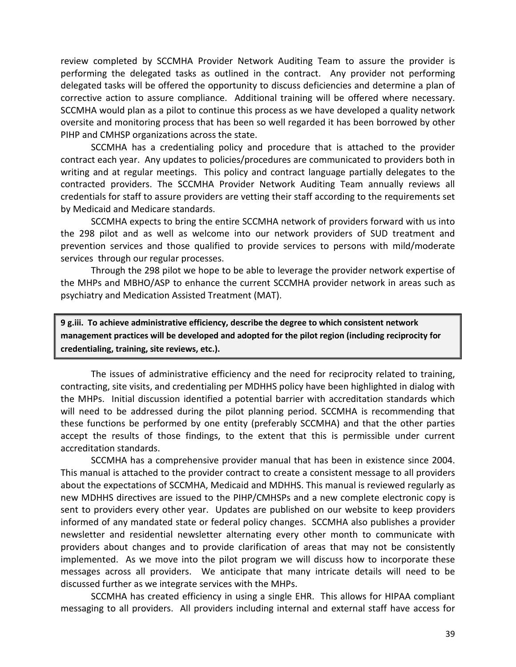review completed by SCCMHA Provider Network Auditing Team to assure the provider is performing the delegated tasks as outlined in the contract. Any provider not performing delegated tasks will be offered the opportunity to discuss deficiencies and determine a plan of corrective action to assure compliance. Additional training will be offered where necessary. SCCMHA would plan as a pilot to continue this process as we have developed a quality network oversite and monitoring process that has been so well regarded it has been borrowed by other PIHP and CMHSP organizations across the state.

SCCMHA has a credentialing policy and procedure that is attached to the provider contract each year. Any updates to policies/procedures are communicated to providers both in writing and at regular meetings. This policy and contract language partially delegates to the contracted providers. The SCCMHA Provider Network Auditing Team annually reviews all credentials for staff to assure providers are vetting their staff according to the requirements set by Medicaid and Medicare standards.

SCCMHA expects to bring the entire SCCMHA network of providers forward with us into the 298 pilot and as well as welcome into our network providers of SUD treatment and prevention services and those qualified to provide services to persons with mild/moderate services through our regular processes.

Through the 298 pilot we hope to be able to leverage the provider network expertise of the MHPs and MBHO/ASP to enhance the current SCCMHA provider network in areas such as psychiatry and Medication Assisted Treatment (MAT).

**9 g.iii. To achieve administrative efficiency, describe the degree to which consistent network management practices will be developed and adopted for the pilot region (including reciprocity for credentialing, training, site reviews, etc.).**

The issues of administrative efficiency and the need for reciprocity related to training, contracting, site visits, and credentialing per MDHHS policy have been highlighted in dialog with the MHPs. Initial discussion identified a potential barrier with accreditation standards which will need to be addressed during the pilot planning period. SCCMHA is recommending that these functions be performed by one entity (preferably SCCMHA) and that the other parties accept the results of those findings, to the extent that this is permissible under current accreditation standards.

SCCMHA has a comprehensive provider manual that has been in existence since 2004. This manual is attached to the provider contract to create a consistent message to all providers about the expectations of SCCMHA, Medicaid and MDHHS. This manual is reviewed regularly as new MDHHS directives are issued to the PIHP/CMHSPs and a new complete electronic copy is sent to providers every other year. Updates are published on our website to keep providers informed of any mandated state or federal policy changes. SCCMHA also publishes a provider newsletter and residential newsletter alternating every other month to communicate with providers about changes and to provide clarification of areas that may not be consistently implemented. As we move into the pilot program we will discuss how to incorporate these messages across all providers. We anticipate that many intricate details will need to be discussed further as we integrate services with the MHPs.

SCCMHA has created efficiency in using a single EHR. This allows for HIPAA compliant messaging to all providers. All providers including internal and external staff have access for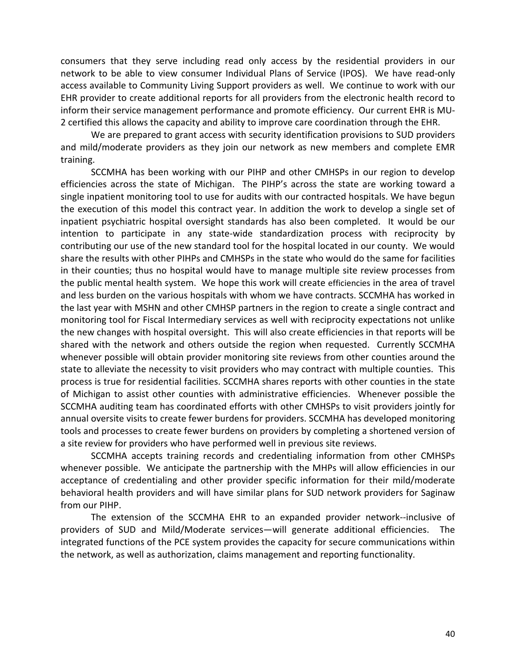consumers that they serve including read only access by the residential providers in our network to be able to view consumer Individual Plans of Service (IPOS). We have read-only access available to Community Living Support providers as well. We continue to work with our EHR provider to create additional reports for all providers from the electronic health record to inform their service management performance and promote efficiency. Our current EHR is MU-2 certified this allows the capacity and ability to improve care coordination through the EHR.

We are prepared to grant access with security identification provisions to SUD providers and mild/moderate providers as they join our network as new members and complete EMR training.

SCCMHA has been working with our PIHP and other CMHSPs in our region to develop efficiencies across the state of Michigan. The PIHP's across the state are working toward a single inpatient monitoring tool to use for audits with our contracted hospitals. We have begun the execution of this model this contract year. In addition the work to develop a single set of inpatient psychiatric hospital oversight standards has also been completed. It would be our intention to participate in any state-wide standardization process with reciprocity by contributing our use of the new standard tool for the hospital located in our county. We would share the results with other PIHPs and CMHSPs in the state who would do the same for facilities in their counties; thus no hospital would have to manage multiple site review processes from the public mental health system. We hope this work will create efficiencies in the area of travel and less burden on the various hospitals with whom we have contracts. SCCMHA has worked in the last year with MSHN and other CMHSP partners in the region to create a single contract and monitoring tool for Fiscal Intermediary services as well with reciprocity expectations not unlike the new changes with hospital oversight. This will also create efficiencies in that reports will be shared with the network and others outside the region when requested. Currently SCCMHA whenever possible will obtain provider monitoring site reviews from other counties around the state to alleviate the necessity to visit providers who may contract with multiple counties. This process is true for residential facilities. SCCMHA shares reports with other counties in the state of Michigan to assist other counties with administrative efficiencies. Whenever possible the SCCMHA auditing team has coordinated efforts with other CMHSPs to visit providers jointly for annual oversite visits to create fewer burdens for providers. SCCMHA has developed monitoring tools and processes to create fewer burdens on providers by completing a shortened version of a site review for providers who have performed well in previous site reviews.

SCCMHA accepts training records and credentialing information from other CMHSPs whenever possible. We anticipate the partnership with the MHPs will allow efficiencies in our acceptance of credentialing and other provider specific information for their mild/moderate behavioral health providers and will have similar plans for SUD network providers for Saginaw from our PIHP.

The extension of the SCCMHA EHR to an expanded provider network--inclusive of providers of SUD and Mild/Moderate services—will generate additional efficiencies. The integrated functions of the PCE system provides the capacity for secure communications within the network, as well as authorization, claims management and reporting functionality.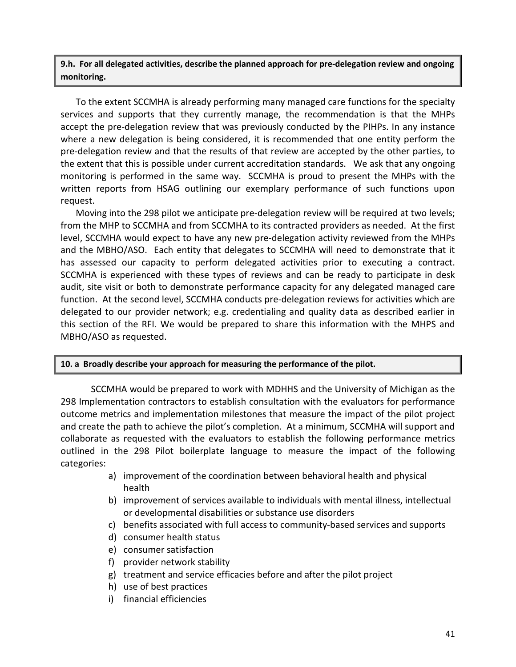**9.h. For all delegated activities, describe the planned approach for pre-delegation review and ongoing monitoring.** 

To the extent SCCMHA is already performing many managed care functions for the specialty services and supports that they currently manage, the recommendation is that the MHPs accept the pre-delegation review that was previously conducted by the PIHPs. In any instance where a new delegation is being considered, it is recommended that one entity perform the pre-delegation review and that the results of that review are accepted by the other parties, to the extent that this is possible under current accreditation standards. We ask that any ongoing monitoring is performed in the same way. SCCMHA is proud to present the MHPs with the written reports from HSAG outlining our exemplary performance of such functions upon request.

Moving into the 298 pilot we anticipate pre-delegation review will be required at two levels; from the MHP to SCCMHA and from SCCMHA to its contracted providers as needed. At the first level, SCCMHA would expect to have any new pre-delegation activity reviewed from the MHPs and the MBHO/ASO. Each entity that delegates to SCCMHA will need to demonstrate that it has assessed our capacity to perform delegated activities prior to executing a contract. SCCMHA is experienced with these types of reviews and can be ready to participate in desk audit, site visit or both to demonstrate performance capacity for any delegated managed care function. At the second level, SCCMHA conducts pre-delegation reviews for activities which are delegated to our provider network; e.g. credentialing and quality data as described earlier in this section of the RFI. We would be prepared to share this information with the MHPS and MBHO/ASO as requested.

#### **10. a Broadly describe your approach for measuring the performance of the pilot.**

SCCMHA would be prepared to work with MDHHS and the University of Michigan as the 298 Implementation contractors to establish consultation with the evaluators for performance outcome metrics and implementation milestones that measure the impact of the pilot project and create the path to achieve the pilot's completion. At a minimum, SCCMHA will support and collaborate as requested with the evaluators to establish the following performance metrics outlined in the 298 Pilot boilerplate language to measure the impact of the following categories:

- a) improvement of the coordination between behavioral health and physical health
- b) improvement of services available to individuals with mental illness, intellectual or developmental disabilities or substance use disorders
- c) benefits associated with full access to community-based services and supports
- d) consumer health status
- e) consumer satisfaction
- f) provider network stability
- g) treatment and service efficacies before and after the pilot project
- h) use of best practices
- i) financial efficiencies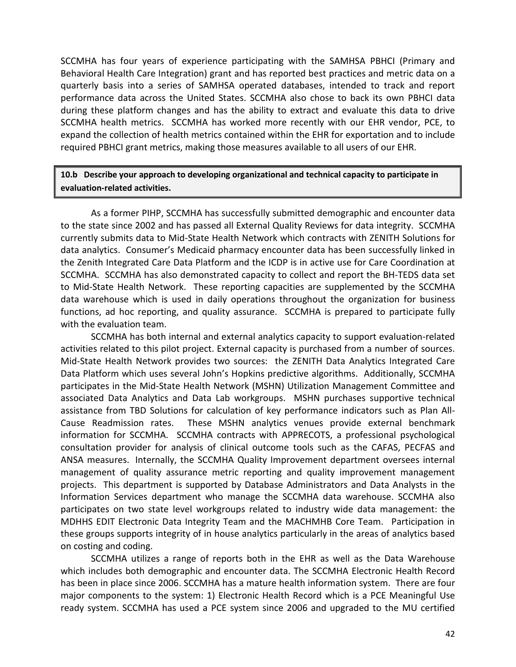SCCMHA has four years of experience participating with the SAMHSA PBHCI (Primary and Behavioral Health Care Integration) grant and has reported best practices and metric data on a quarterly basis into a series of SAMHSA operated databases, intended to track and report performance data across the United States. SCCMHA also chose to back its own PBHCI data during these platform changes and has the ability to extract and evaluate this data to drive SCCMHA health metrics. SCCMHA has worked more recently with our EHR vendor, PCE, to expand the collection of health metrics contained within the EHR for exportation and to include required PBHCI grant metrics, making those measures available to all users of our EHR.

### **10.b Describe your approach to developing organizational and technical capacity to participate in evaluation-related activities.**

As a former PIHP, SCCMHA has successfully submitted demographic and encounter data to the state since 2002 and has passed all External Quality Reviews for data integrity. SCCMHA currently submits data to Mid-State Health Network which contracts with ZENITH Solutions for data analytics. Consumer's Medicaid pharmacy encounter data has been successfully linked in the Zenith Integrated Care Data Platform and the ICDP is in active use for Care Coordination at SCCMHA. SCCMHA has also demonstrated capacity to collect and report the BH-TEDS data set to Mid-State Health Network. These reporting capacities are supplemented by the SCCMHA data warehouse which is used in daily operations throughout the organization for business functions, ad hoc reporting, and quality assurance. SCCMHA is prepared to participate fully with the evaluation team.

SCCMHA has both internal and external analytics capacity to support evaluation-related activities related to this pilot project. External capacity is purchased from a number of sources. Mid-State Health Network provides two sources: the ZENITH Data Analytics Integrated Care Data Platform which uses several John's Hopkins predictive algorithms. Additionally, SCCMHA participates in the Mid-State Health Network (MSHN) Utilization Management Committee and associated Data Analytics and Data Lab workgroups. MSHN purchases supportive technical assistance from TBD Solutions for calculation of key performance indicators such as Plan All-Cause Readmission rates. These MSHN analytics venues provide external benchmark information for SCCMHA. SCCMHA contracts with APPRECOTS, a professional psychological consultation provider for analysis of clinical outcome tools such as the CAFAS, PECFAS and ANSA measures. Internally, the SCCMHA Quality Improvement department oversees internal management of quality assurance metric reporting and quality improvement management projects. This department is supported by Database Administrators and Data Analysts in the Information Services department who manage the SCCMHA data warehouse. SCCMHA also participates on two state level workgroups related to industry wide data management: the MDHHS EDIT Electronic Data Integrity Team and the MACHMHB Core Team. Participation in these groups supports integrity of in house analytics particularly in the areas of analytics based on costing and coding.

SCCMHA utilizes a range of reports both in the EHR as well as the Data Warehouse which includes both demographic and encounter data. The SCCMHA Electronic Health Record has been in place since 2006. SCCMHA has a mature health information system. There are four major components to the system: 1) Electronic Health Record which is a PCE Meaningful Use ready system. SCCMHA has used a PCE system since 2006 and upgraded to the MU certified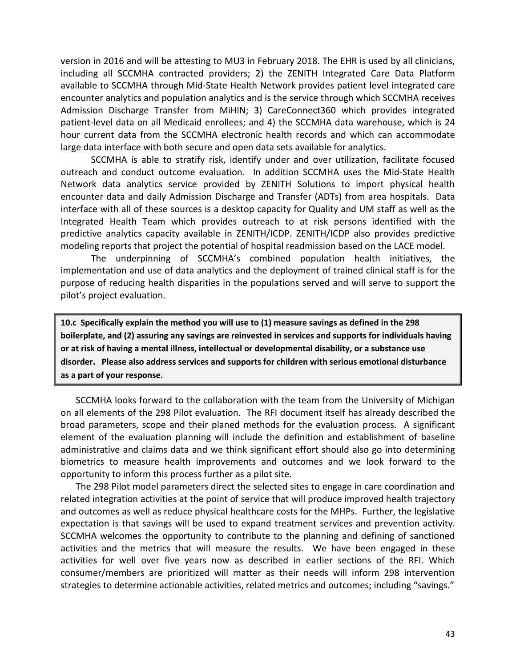version in 2016 and will be attesting to MU3 in February 2018. The EHR is used by all clinicians, including all SCCMHA contracted providers; 2) the ZENITH Integrated Care Data Platform available to SCCMHA through Mid-State Health Network provides patient level integrated care encounter analytics and population analytics and is the service through which SCCMHA receives Admission Discharge Transfer from MiHIN; 3) CareConnect360 which provides integrated patient-level data on all Medicaid enrollees; and 4) the SCCMHA data warehouse, which is 24 hour current data from the SCCMHA electronic health records and which can accommodate large data interface with both secure and open data sets available for analytics.

SCCMHA is able to stratify risk, identify under and over utilization, facilitate focused outreach and conduct outcome evaluation. In addition SCCMHA uses the Mid-State Health Network data analytics service provided by ZENITH Solutions to import physical health encounter data and daily Admission Discharge and Transfer (ADTs) from area hospitals. Data interface with all of these sources is a desktop capacity for Quality and UM staff as well as the Integrated Health Team which provides outreach to at risk persons identified with the predictive analytics capacity available in ZENITH/ICDP. ZENITH/ICDP also provides predictive modeling reports that project the potential of hospital readmission based on the LACE model.

The underpinning of SCCMHA's combined population health initiatives, the implementation and use of data analytics and the deployment of trained clinical staff is for the purpose of reducing health disparities in the populations served and will serve to support the pilot's project evaluation.

**10.c Specifically explain the method you will use to (1) measure savings as defined in the 298 boilerplate, and (2) assuring any savings are reinvested in services and supports for individuals having or at risk of having a mental illness, intellectual or developmental disability, or a substance use disorder. Please also address services and supports for children with serious emotional disturbance as a part of your response.**

SCCMHA looks forward to the collaboration with the team from the University of Michigan on all elements of the 298 Pilot evaluation. The RFI document itself has already described the broad parameters, scope and their planed methods for the evaluation process. A significant element of the evaluation planning will include the definition and establishment of baseline administrative and claims data and we think significant effort should also go into determining biometrics to measure health improvements and outcomes and we look forward to the opportunity to inform this process further as a pilot site.

The 298 Pilot model parameters direct the selected sites to engage in care coordination and related integration activities at the point of service that will produce improved health trajectory and outcomes as well as reduce physical healthcare costs for the MHPs. Further, the legislative expectation is that savings will be used to expand treatment services and prevention activity. SCCMHA welcomes the opportunity to contribute to the planning and defining of sanctioned activities and the metrics that will measure the results. We have been engaged in these activities for well over five years now as described in earlier sections of the RFI. Which consumer/members are prioritized will matter as their needs will inform 298 intervention strategies to determine actionable activities, related metrics and outcomes; including "savings."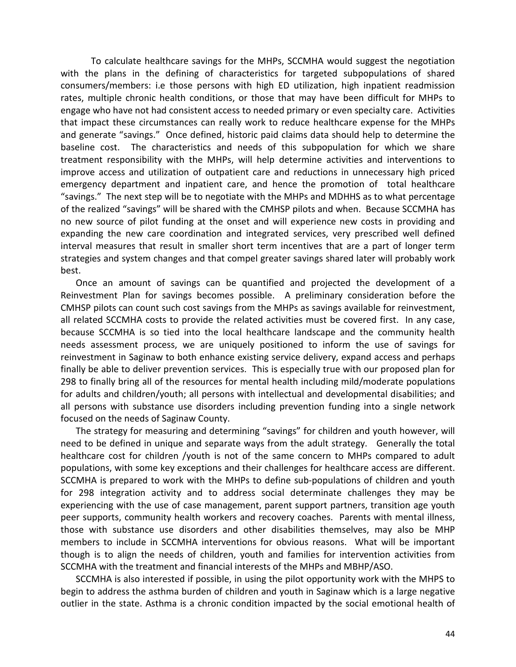To calculate healthcare savings for the MHPs, SCCMHA would suggest the negotiation with the plans in the defining of characteristics for targeted subpopulations of shared consumers/members: i.e those persons with high ED utilization, high inpatient readmission rates, multiple chronic health conditions, or those that may have been difficult for MHPs to engage who have not had consistent access to needed primary or even specialty care. Activities that impact these circumstances can really work to reduce healthcare expense for the MHPs and generate "savings." Once defined, historic paid claims data should help to determine the baseline cost. The characteristics and needs of this subpopulation for which we share treatment responsibility with the MHPs, will help determine activities and interventions to improve access and utilization of outpatient care and reductions in unnecessary high priced emergency department and inpatient care, and hence the promotion of total healthcare "savings." The next step will be to negotiate with the MHPs and MDHHS as to what percentage of the realized "savings" will be shared with the CMHSP pilots and when. Because SCCMHA has no new source of pilot funding at the onset and will experience new costs in providing and expanding the new care coordination and integrated services, very prescribed well defined interval measures that result in smaller short term incentives that are a part of longer term strategies and system changes and that compel greater savings shared later will probably work best.

Once an amount of savings can be quantified and projected the development of a Reinvestment Plan for savings becomes possible. A preliminary consideration before the CMHSP pilots can count such cost savings from the MHPs as savings available for reinvestment, all related SCCMHA costs to provide the related activities must be covered first. In any case, because SCCMHA is so tied into the local healthcare landscape and the community health needs assessment process, we are uniquely positioned to inform the use of savings for reinvestment in Saginaw to both enhance existing service delivery, expand access and perhaps finally be able to deliver prevention services. This is especially true with our proposed plan for 298 to finally bring all of the resources for mental health including mild/moderate populations for adults and children/youth; all persons with intellectual and developmental disabilities; and all persons with substance use disorders including prevention funding into a single network focused on the needs of Saginaw County.

The strategy for measuring and determining "savings" for children and youth however, will need to be defined in unique and separate ways from the adult strategy. Generally the total healthcare cost for children /youth is not of the same concern to MHPs compared to adult populations, with some key exceptions and their challenges for healthcare access are different. SCCMHA is prepared to work with the MHPs to define sub-populations of children and youth for 298 integration activity and to address social determinate challenges they may be experiencing with the use of case management, parent support partners, transition age youth peer supports, community health workers and recovery coaches. Parents with mental illness, those with substance use disorders and other disabilities themselves, may also be MHP members to include in SCCMHA interventions for obvious reasons. What will be important though is to align the needs of children, youth and families for intervention activities from SCCMHA with the treatment and financial interests of the MHPs and MBHP/ASO.

SCCMHA is also interested if possible, in using the pilot opportunity work with the MHPS to begin to address the asthma burden of children and youth in Saginaw which is a large negative outlier in the state. Asthma is a chronic condition impacted by the social emotional health of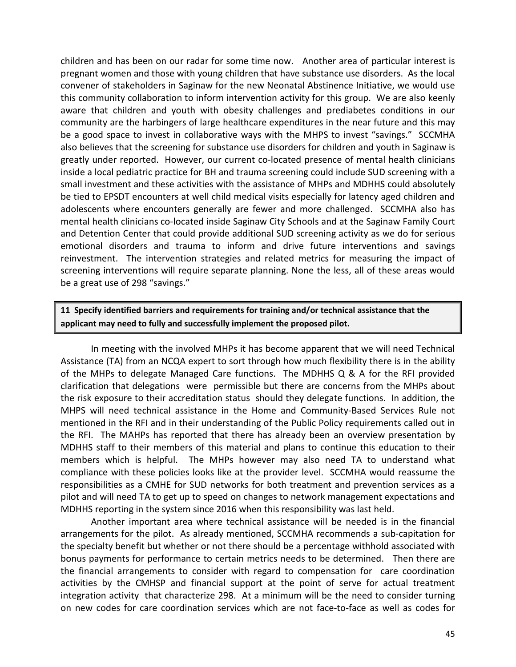children and has been on our radar for some time now. Another area of particular interest is pregnant women and those with young children that have substance use disorders. As the local convener of stakeholders in Saginaw for the new Neonatal Abstinence Initiative, we would use this community collaboration to inform intervention activity for this group. We are also keenly aware that children and youth with obesity challenges and prediabetes conditions in our community are the harbingers of large healthcare expenditures in the near future and this may be a good space to invest in collaborative ways with the MHPS to invest "savings." SCCMHA also believes that the screening for substance use disorders for children and youth in Saginaw is greatly under reported. However, our current co-located presence of mental health clinicians inside a local pediatric practice for BH and trauma screening could include SUD screening with a small investment and these activities with the assistance of MHPs and MDHHS could absolutely be tied to EPSDT encounters at well child medical visits especially for latency aged children and adolescents where encounters generally are fewer and more challenged. SCCMHA also has mental health clinicians co-located inside Saginaw City Schools and at the Saginaw Family Court and Detention Center that could provide additional SUD screening activity as we do for serious emotional disorders and trauma to inform and drive future interventions and savings reinvestment. The intervention strategies and related metrics for measuring the impact of screening interventions will require separate planning. None the less, all of these areas would be a great use of 298 "savings."

## **11 Specify identified barriers and requirements for training and/or technical assistance that the applicant may need to fully and successfully implement the proposed pilot.**

In meeting with the involved MHPs it has become apparent that we will need Technical Assistance (TA) from an NCQA expert to sort through how much flexibility there is in the ability of the MHPs to delegate Managed Care functions. The MDHHS Q & A for the RFI provided clarification that delegations were permissible but there are concerns from the MHPs about the risk exposure to their accreditation status should they delegate functions. In addition, the MHPS will need technical assistance in the Home and Community-Based Services Rule not mentioned in the RFI and in their understanding of the Public Policy requirements called out in the RFI. The MAHPs has reported that there has already been an overview presentation by MDHHS staff to their members of this material and plans to continue this education to their members which is helpful. The MHPs however may also need TA to understand what compliance with these policies looks like at the provider level. SCCMHA would reassume the responsibilities as a CMHE for SUD networks for both treatment and prevention services as a pilot and will need TA to get up to speed on changes to network management expectations and MDHHS reporting in the system since 2016 when this responsibility was last held.

Another important area where technical assistance will be needed is in the financial arrangements for the pilot. As already mentioned, SCCMHA recommends a sub-capitation for the specialty benefit but whether or not there should be a percentage withhold associated with bonus payments for performance to certain metrics needs to be determined. Then there are the financial arrangements to consider with regard to compensation for care coordination activities by the CMHSP and financial support at the point of serve for actual treatment integration activity that characterize 298. At a minimum will be the need to consider turning on new codes for care coordination services which are not face-to-face as well as codes for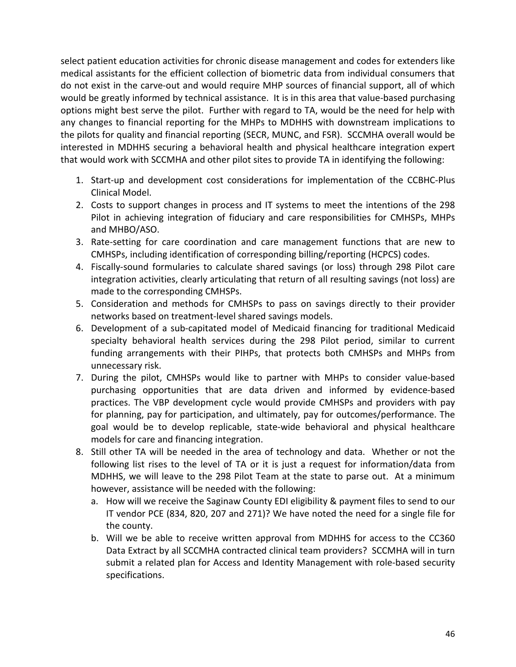select patient education activities for chronic disease management and codes for extenders like medical assistants for the efficient collection of biometric data from individual consumers that do not exist in the carve-out and would require MHP sources of financial support, all of which would be greatly informed by technical assistance. It is in this area that value-based purchasing options might best serve the pilot. Further with regard to TA, would be the need for help with any changes to financial reporting for the MHPs to MDHHS with downstream implications to the pilots for quality and financial reporting (SECR, MUNC, and FSR). SCCMHA overall would be interested in MDHHS securing a behavioral health and physical healthcare integration expert that would work with SCCMHA and other pilot sites to provide TA in identifying the following:

- 1. Start-up and development cost considerations for implementation of the CCBHC-Plus Clinical Model.
- 2. Costs to support changes in process and IT systems to meet the intentions of the 298 Pilot in achieving integration of fiduciary and care responsibilities for CMHSPs, MHPs and MHBO/ASO.
- 3. Rate-setting for care coordination and care management functions that are new to CMHSPs, including identification of corresponding billing/reporting (HCPCS) codes.
- 4. Fiscally-sound formularies to calculate shared savings (or loss) through 298 Pilot care integration activities, clearly articulating that return of all resulting savings (not loss) are made to the corresponding CMHSPs.
- 5. Consideration and methods for CMHSPs to pass on savings directly to their provider networks based on treatment-level shared savings models.
- 6. Development of a sub-capitated model of Medicaid financing for traditional Medicaid specialty behavioral health services during the 298 Pilot period, similar to current funding arrangements with their PIHPs, that protects both CMHSPs and MHPs from unnecessary risk.
- 7. During the pilot, CMHSPs would like to partner with MHPs to consider value-based purchasing opportunities that are data driven and informed by evidence-based practices. The VBP development cycle would provide CMHSPs and providers with pay for planning, pay for participation, and ultimately, pay for outcomes/performance. The goal would be to develop replicable, state-wide behavioral and physical healthcare models for care and financing integration.
- 8. Still other TA will be needed in the area of technology and data. Whether or not the following list rises to the level of TA or it is just a request for information/data from MDHHS, we will leave to the 298 Pilot Team at the state to parse out. At a minimum however, assistance will be needed with the following:
	- a. How will we receive the Saginaw County EDI eligibility & payment files to send to our IT vendor PCE (834, 820, 207 and 271)? We have noted the need for a single file for the county.
	- b. Will we be able to receive written approval from MDHHS for access to the CC360 Data Extract by all SCCMHA contracted clinical team providers? SCCMHA will in turn submit a related plan for Access and Identity Management with role-based security specifications.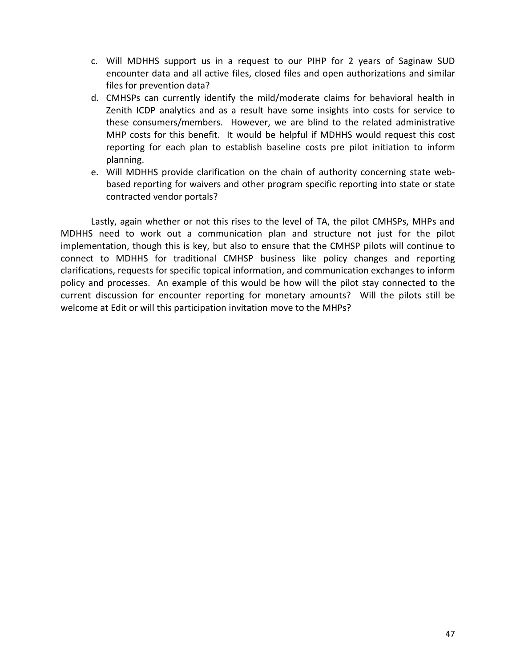- c. Will MDHHS support us in a request to our PIHP for 2 years of Saginaw SUD encounter data and all active files, closed files and open authorizations and similar files for prevention data?
- d. CMHSPs can currently identify the mild/moderate claims for behavioral health in Zenith ICDP analytics and as a result have some insights into costs for service to these consumers/members. However, we are blind to the related administrative MHP costs for this benefit. It would be helpful if MDHHS would request this cost reporting for each plan to establish baseline costs pre pilot initiation to inform planning.
- e. Will MDHHS provide clarification on the chain of authority concerning state webbased reporting for waivers and other program specific reporting into state or state contracted vendor portals?

Lastly, again whether or not this rises to the level of TA, the pilot CMHSPs, MHPs and MDHHS need to work out a communication plan and structure not just for the pilot implementation, though this is key, but also to ensure that the CMHSP pilots will continue to connect to MDHHS for traditional CMHSP business like policy changes and reporting clarifications, requests for specific topical information, and communication exchanges to inform policy and processes. An example of this would be how will the pilot stay connected to the current discussion for encounter reporting for monetary amounts? Will the pilots still be welcome at Edit or will this participation invitation move to the MHPs?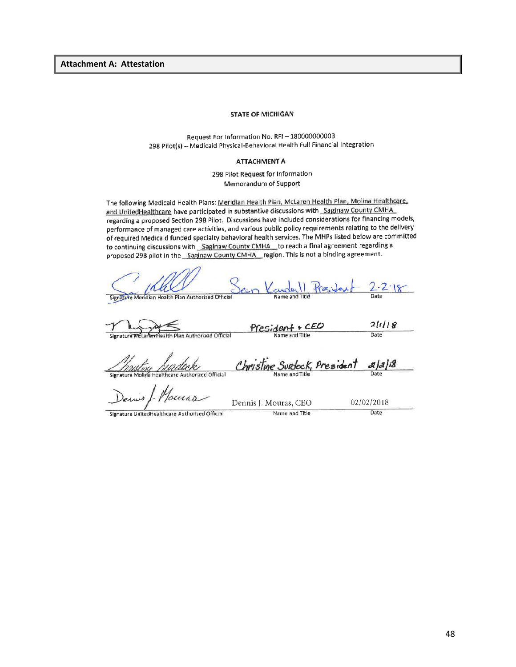**Attachment A: Attestation**

#### **STATE OF MICHIGAN**

Request For Information No. RFI-180000000003 298 Pilot(s) - Medicaid Physical-Behavioral Health Full Financial Integration

#### **ATTACHMENT A**

298 Pilot Request for Information Memorandum of Support

The following Medicaid Health Plans: Meridian Health Plan, McLaren Health Plan, Molina Healthcare, and UnitedHealthcare have participated in substantive discussions with Saginaw County CMHA regarding a proposed Section 298 Pilot. Discussions have included considerations for financing models, performance of managed care activities, and various public policy requirements relating to the delivery of required Medicald funded specialty behavioral health services. The MHPs listed below are committed to continuing discussions with Saginaw County CMHA to reach a final agreement regarding a proposed 298 pilot in the Saginaw County CMHA region. This is not a binding agreement.

| Signature Meridian Health Plan Authorized Official      | Date                                                                         |
|---------------------------------------------------------|------------------------------------------------------------------------------|
| Name and Title<br>Laren Health Plan Authorized Official | 2118<br>Date                                                                 |
| Name and Title                                          | 2 2 8                                                                        |
| Dennis J. Mouras, CEO                                   | 02/02/2018                                                                   |
|                                                         | $Kaudall Raskub - 2.2.18$<br>President + CEO<br>Christine Surdock, President |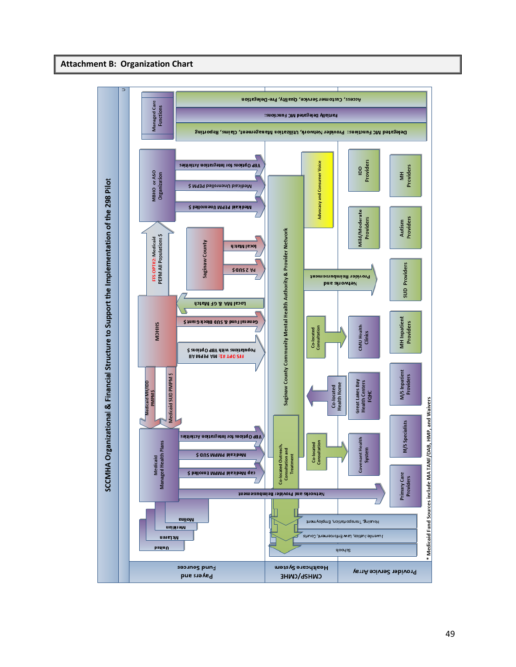#### **Attachment B: Organization Chart**